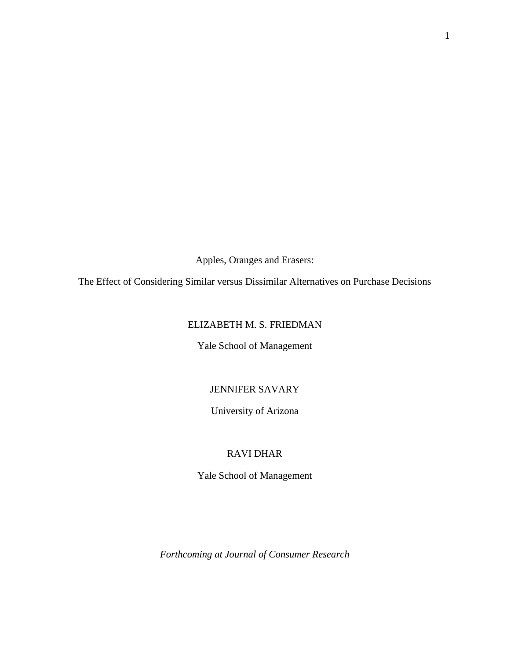Apples, Oranges and Erasers:

The Effect of Considering Similar versus Dissimilar Alternatives on Purchase Decisions

# ELIZABETH M. S. FRIEDMAN

Yale School of Management

## JENNIFER SAVARY

University of Arizona

# RAVI DHAR

Yale School of Management

*Forthcoming at Journal of Consumer Research*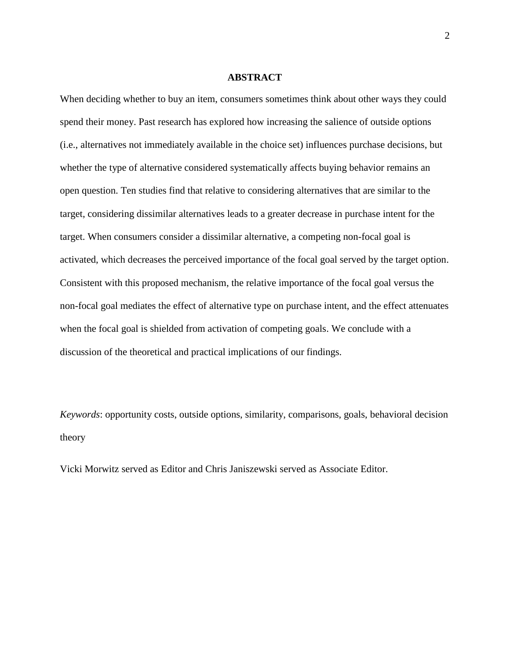#### **ABSTRACT**

When deciding whether to buy an item, consumers sometimes think about other ways they could spend their money. Past research has explored how increasing the salience of outside options (i.e., alternatives not immediately available in the choice set) influences purchase decisions, but whether the type of alternative considered systematically affects buying behavior remains an open question. Ten studies find that relative to considering alternatives that are similar to the target, considering dissimilar alternatives leads to a greater decrease in purchase intent for the target. When consumers consider a dissimilar alternative, a competing non-focal goal is activated, which decreases the perceived importance of the focal goal served by the target option. Consistent with this proposed mechanism, the relative importance of the focal goal versus the non-focal goal mediates the effect of alternative type on purchase intent, and the effect attenuates when the focal goal is shielded from activation of competing goals. We conclude with a discussion of the theoretical and practical implications of our findings.

*Keywords*: opportunity costs, outside options, similarity, comparisons, goals, behavioral decision theory

Vicki Morwitz served as Editor and Chris Janiszewski served as Associate Editor.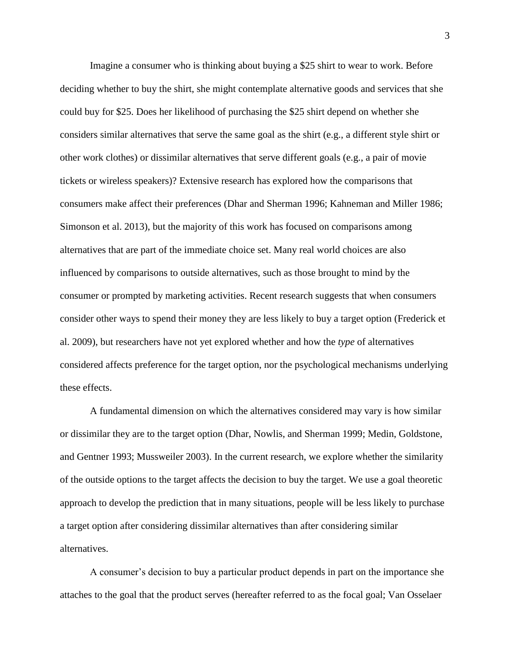Imagine a consumer who is thinking about buying a \$25 shirt to wear to work. Before deciding whether to buy the shirt, she might contemplate alternative goods and services that she could buy for \$25. Does her likelihood of purchasing the \$25 shirt depend on whether she considers similar alternatives that serve the same goal as the shirt (e.g., a different style shirt or other work clothes) or dissimilar alternatives that serve different goals (e.g., a pair of movie tickets or wireless speakers)? Extensive research has explored how the comparisons that consumers make affect their preferences (Dhar and Sherman 1996; Kahneman and Miller 1986; Simonson et al. 2013), but the majority of this work has focused on comparisons among alternatives that are part of the immediate choice set. Many real world choices are also influenced by comparisons to outside alternatives, such as those brought to mind by the consumer or prompted by marketing activities. Recent research suggests that when consumers consider other ways to spend their money they are less likely to buy a target option (Frederick et al. 2009), but researchers have not yet explored whether and how the *type* of alternatives considered affects preference for the target option, nor the psychological mechanisms underlying these effects.

A fundamental dimension on which the alternatives considered may vary is how similar or dissimilar they are to the target option (Dhar, Nowlis, and Sherman 1999; Medin, Goldstone, and Gentner 1993; Mussweiler 2003). In the current research, we explore whether the similarity of the outside options to the target affects the decision to buy the target. We use a goal theoretic approach to develop the prediction that in many situations, people will be less likely to purchase a target option after considering dissimilar alternatives than after considering similar alternatives.

A consumer's decision to buy a particular product depends in part on the importance she attaches to the goal that the product serves (hereafter referred to as the focal goal; Van Osselaer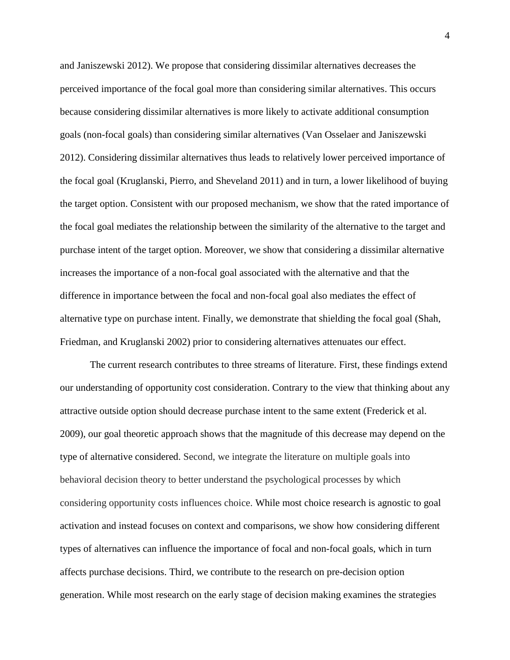and Janiszewski 2012). We propose that considering dissimilar alternatives decreases the perceived importance of the focal goal more than considering similar alternatives. This occurs because considering dissimilar alternatives is more likely to activate additional consumption goals (non-focal goals) than considering similar alternatives (Van Osselaer and Janiszewski 2012). Considering dissimilar alternatives thus leads to relatively lower perceived importance of the focal goal (Kruglanski, Pierro, and Sheveland 2011) and in turn, a lower likelihood of buying the target option. Consistent with our proposed mechanism, we show that the rated importance of the focal goal mediates the relationship between the similarity of the alternative to the target and purchase intent of the target option. Moreover, we show that considering a dissimilar alternative increases the importance of a non-focal goal associated with the alternative and that the difference in importance between the focal and non-focal goal also mediates the effect of alternative type on purchase intent. Finally, we demonstrate that shielding the focal goal (Shah, Friedman, and Kruglanski 2002) prior to considering alternatives attenuates our effect.

The current research contributes to three streams of literature. First, these findings extend our understanding of opportunity cost consideration. Contrary to the view that thinking about any attractive outside option should decrease purchase intent to the same extent (Frederick et al. 2009), our goal theoretic approach shows that the magnitude of this decrease may depend on the type of alternative considered. Second, we integrate the literature on multiple goals into behavioral decision theory to better understand the psychological processes by which considering opportunity costs influences choice. While most choice research is agnostic to goal activation and instead focuses on context and comparisons, we show how considering different types of alternatives can influence the importance of focal and non-focal goals, which in turn affects purchase decisions. Third, we contribute to the research on pre-decision option generation. While most research on the early stage of decision making examines the strategies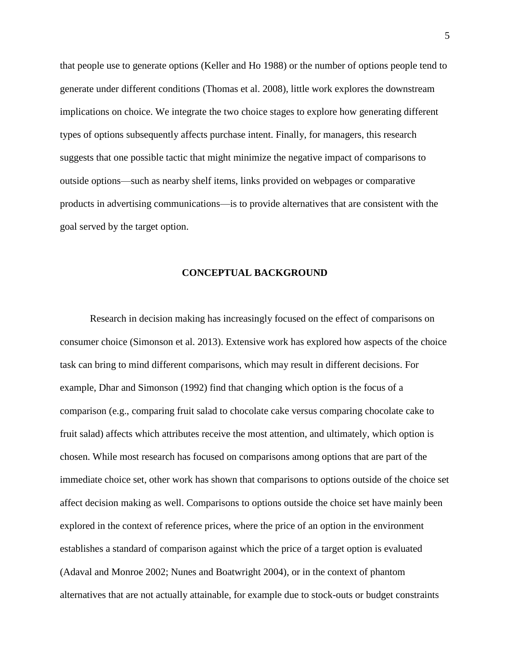that people use to generate options (Keller and Ho 1988) or the number of options people tend to generate under different conditions (Thomas et al. 2008), little work explores the downstream implications on choice. We integrate the two choice stages to explore how generating different types of options subsequently affects purchase intent. Finally, for managers, this research suggests that one possible tactic that might minimize the negative impact of comparisons to outside options—such as nearby shelf items, links provided on webpages or comparative products in advertising communications—is to provide alternatives that are consistent with the goal served by the target option.

#### **CONCEPTUAL BACKGROUND**

Research in decision making has increasingly focused on the effect of comparisons on consumer choice (Simonson et al. 2013). Extensive work has explored how aspects of the choice task can bring to mind different comparisons, which may result in different decisions. For example, Dhar and Simonson (1992) find that changing which option is the focus of a comparison (e.g., comparing fruit salad to chocolate cake versus comparing chocolate cake to fruit salad) affects which attributes receive the most attention, and ultimately, which option is chosen. While most research has focused on comparisons among options that are part of the immediate choice set, other work has shown that comparisons to options outside of the choice set affect decision making as well. Comparisons to options outside the choice set have mainly been explored in the context of reference prices, where the price of an option in the environment establishes a standard of comparison against which the price of a target option is evaluated (Adaval and Monroe 2002; Nunes and Boatwright 2004), or in the context of phantom alternatives that are not actually attainable, for example due to stock-outs or budget constraints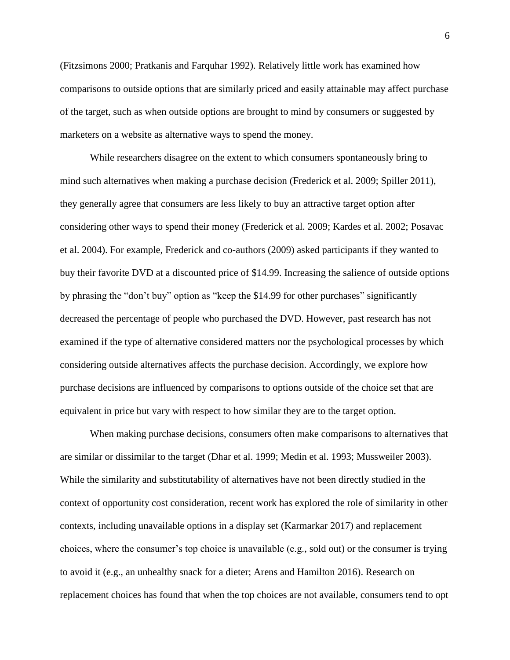(Fitzsimons 2000; Pratkanis and Farquhar 1992). Relatively little work has examined how comparisons to outside options that are similarly priced and easily attainable may affect purchase of the target, such as when outside options are brought to mind by consumers or suggested by marketers on a website as alternative ways to spend the money.

While researchers disagree on the extent to which consumers spontaneously bring to mind such alternatives when making a purchase decision (Frederick et al. 2009; Spiller 2011), they generally agree that consumers are less likely to buy an attractive target option after considering other ways to spend their money (Frederick et al. 2009; Kardes et al. 2002; Posavac et al. 2004). For example, Frederick and co-authors (2009) asked participants if they wanted to buy their favorite DVD at a discounted price of \$14.99. Increasing the salience of outside options by phrasing the "don't buy" option as "keep the \$14.99 for other purchases" significantly decreased the percentage of people who purchased the DVD. However, past research has not examined if the type of alternative considered matters nor the psychological processes by which considering outside alternatives affects the purchase decision. Accordingly, we explore how purchase decisions are influenced by comparisons to options outside of the choice set that are equivalent in price but vary with respect to how similar they are to the target option.

When making purchase decisions, consumers often make comparisons to alternatives that are similar or dissimilar to the target (Dhar et al. 1999; Medin et al. 1993; Mussweiler 2003). While the similarity and substitutability of alternatives have not been directly studied in the context of opportunity cost consideration, recent work has explored the role of similarity in other contexts, including unavailable options in a display set (Karmarkar 2017) and replacement choices, where the consumer's top choice is unavailable (e.g., sold out) or the consumer is trying to avoid it (e.g., an unhealthy snack for a dieter; Arens and Hamilton 2016). Research on replacement choices has found that when the top choices are not available, consumers tend to opt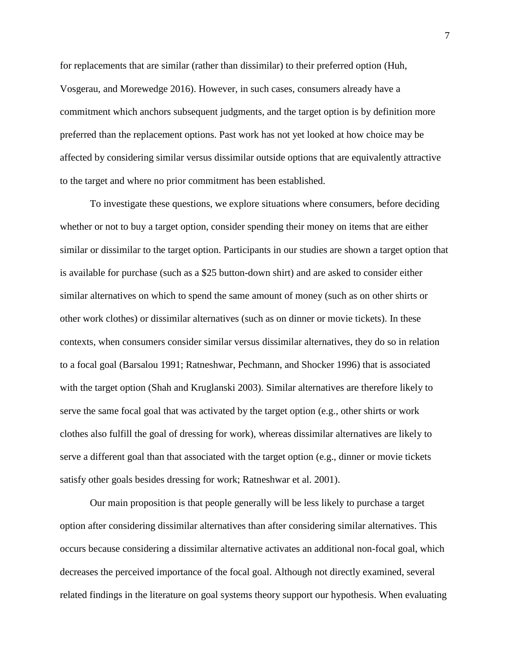for replacements that are similar (rather than dissimilar) to their preferred option (Huh, Vosgerau, and Morewedge 2016). However, in such cases, consumers already have a commitment which anchors subsequent judgments, and the target option is by definition more preferred than the replacement options. Past work has not yet looked at how choice may be affected by considering similar versus dissimilar outside options that are equivalently attractive to the target and where no prior commitment has been established.

To investigate these questions, we explore situations where consumers, before deciding whether or not to buy a target option, consider spending their money on items that are either similar or dissimilar to the target option. Participants in our studies are shown a target option that is available for purchase (such as a \$25 button-down shirt) and are asked to consider either similar alternatives on which to spend the same amount of money (such as on other shirts or other work clothes) or dissimilar alternatives (such as on dinner or movie tickets). In these contexts, when consumers consider similar versus dissimilar alternatives, they do so in relation to a focal goal (Barsalou 1991; Ratneshwar, Pechmann, and Shocker 1996) that is associated with the target option (Shah and Kruglanski 2003). Similar alternatives are therefore likely to serve the same focal goal that was activated by the target option (e.g., other shirts or work clothes also fulfill the goal of dressing for work), whereas dissimilar alternatives are likely to serve a different goal than that associated with the target option (e.g., dinner or movie tickets satisfy other goals besides dressing for work; Ratneshwar et al. 2001).

Our main proposition is that people generally will be less likely to purchase a target option after considering dissimilar alternatives than after considering similar alternatives. This occurs because considering a dissimilar alternative activates an additional non-focal goal, which decreases the perceived importance of the focal goal. Although not directly examined, several related findings in the literature on goal systems theory support our hypothesis. When evaluating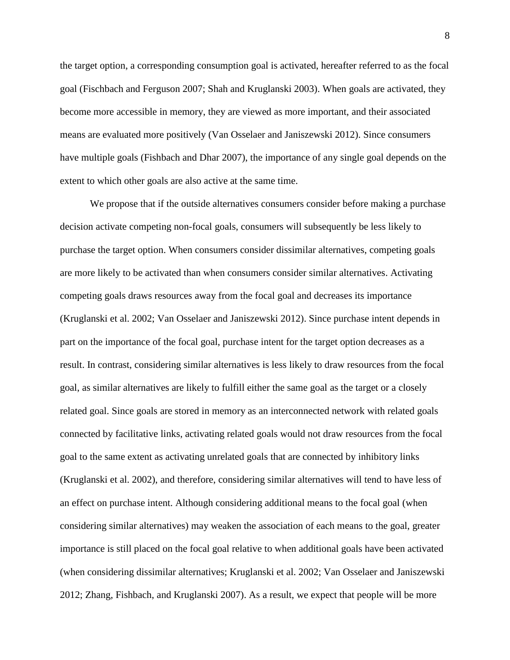the target option, a corresponding consumption goal is activated, hereafter referred to as the focal goal (Fischbach and Ferguson 2007; Shah and Kruglanski 2003). When goals are activated, they become more accessible in memory, they are viewed as more important, and their associated means are evaluated more positively (Van Osselaer and Janiszewski 2012). Since consumers have multiple goals (Fishbach and Dhar 2007), the importance of any single goal depends on the extent to which other goals are also active at the same time.

We propose that if the outside alternatives consumers consider before making a purchase decision activate competing non-focal goals, consumers will subsequently be less likely to purchase the target option. When consumers consider dissimilar alternatives, competing goals are more likely to be activated than when consumers consider similar alternatives. Activating competing goals draws resources away from the focal goal and decreases its importance (Kruglanski et al. 2002; Van Osselaer and Janiszewski 2012). Since purchase intent depends in part on the importance of the focal goal, purchase intent for the target option decreases as a result. In contrast, considering similar alternatives is less likely to draw resources from the focal goal, as similar alternatives are likely to fulfill either the same goal as the target or a closely related goal. Since goals are stored in memory as an interconnected network with related goals connected by facilitative links, activating related goals would not draw resources from the focal goal to the same extent as activating unrelated goals that are connected by inhibitory links (Kruglanski et al. 2002), and therefore, considering similar alternatives will tend to have less of an effect on purchase intent. Although considering additional means to the focal goal (when considering similar alternatives) may weaken the association of each means to the goal, greater importance is still placed on the focal goal relative to when additional goals have been activated (when considering dissimilar alternatives; Kruglanski et al. 2002; Van Osselaer and Janiszewski 2012; Zhang, Fishbach, and Kruglanski 2007). As a result, we expect that people will be more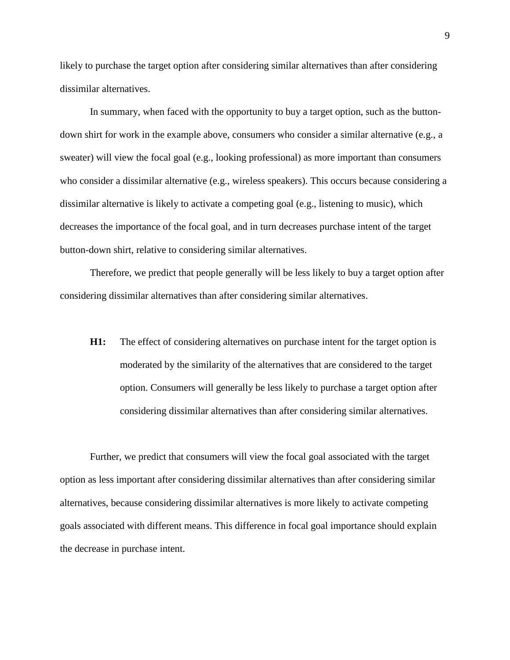likely to purchase the target option after considering similar alternatives than after considering dissimilar alternatives.

In summary, when faced with the opportunity to buy a target option, such as the buttondown shirt for work in the example above, consumers who consider a similar alternative (e.g., a sweater) will view the focal goal (e.g., looking professional) as more important than consumers who consider a dissimilar alternative (e.g., wireless speakers). This occurs because considering a dissimilar alternative is likely to activate a competing goal (e.g., listening to music), which decreases the importance of the focal goal, and in turn decreases purchase intent of the target button-down shirt, relative to considering similar alternatives.

Therefore, we predict that people generally will be less likely to buy a target option after considering dissimilar alternatives than after considering similar alternatives.

**H1:** The effect of considering alternatives on purchase intent for the target option is moderated by the similarity of the alternatives that are considered to the target option. Consumers will generally be less likely to purchase a target option after considering dissimilar alternatives than after considering similar alternatives.

Further, we predict that consumers will view the focal goal associated with the target option as less important after considering dissimilar alternatives than after considering similar alternatives, because considering dissimilar alternatives is more likely to activate competing goals associated with different means. This difference in focal goal importance should explain the decrease in purchase intent.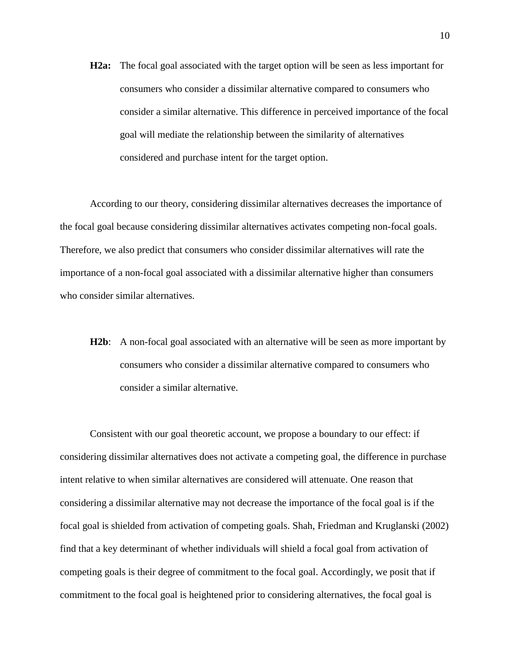**H2a:** The focal goal associated with the target option will be seen as less important for consumers who consider a dissimilar alternative compared to consumers who consider a similar alternative. This difference in perceived importance of the focal goal will mediate the relationship between the similarity of alternatives considered and purchase intent for the target option.

According to our theory, considering dissimilar alternatives decreases the importance of the focal goal because considering dissimilar alternatives activates competing non-focal goals. Therefore, we also predict that consumers who consider dissimilar alternatives will rate the importance of a non-focal goal associated with a dissimilar alternative higher than consumers who consider similar alternatives.

**H2b**: A non-focal goal associated with an alternative will be seen as more important by consumers who consider a dissimilar alternative compared to consumers who consider a similar alternative.

Consistent with our goal theoretic account, we propose a boundary to our effect: if considering dissimilar alternatives does not activate a competing goal, the difference in purchase intent relative to when similar alternatives are considered will attenuate. One reason that considering a dissimilar alternative may not decrease the importance of the focal goal is if the focal goal is shielded from activation of competing goals. Shah, Friedman and Kruglanski (2002) find that a key determinant of whether individuals will shield a focal goal from activation of competing goals is their degree of commitment to the focal goal. Accordingly, we posit that if commitment to the focal goal is heightened prior to considering alternatives, the focal goal is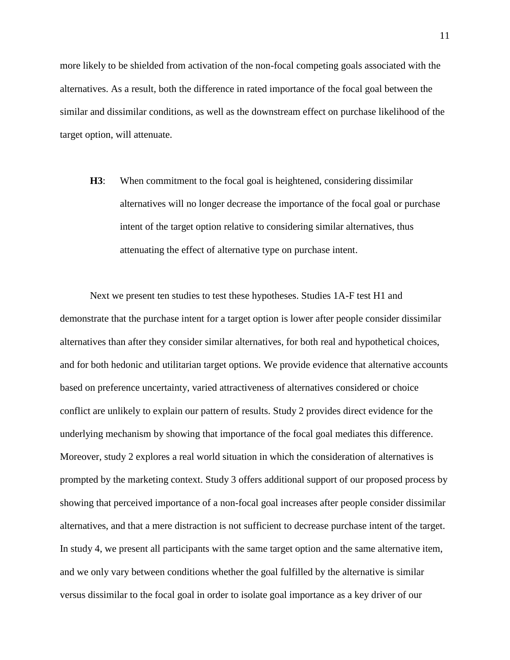more likely to be shielded from activation of the non-focal competing goals associated with the alternatives. As a result, both the difference in rated importance of the focal goal between the similar and dissimilar conditions, as well as the downstream effect on purchase likelihood of the target option, will attenuate.

**H3**: When commitment to the focal goal is heightened, considering dissimilar alternatives will no longer decrease the importance of the focal goal or purchase intent of the target option relative to considering similar alternatives, thus attenuating the effect of alternative type on purchase intent.

Next we present ten studies to test these hypotheses. Studies 1A-F test H1 and demonstrate that the purchase intent for a target option is lower after people consider dissimilar alternatives than after they consider similar alternatives, for both real and hypothetical choices, and for both hedonic and utilitarian target options. We provide evidence that alternative accounts based on preference uncertainty, varied attractiveness of alternatives considered or choice conflict are unlikely to explain our pattern of results. Study 2 provides direct evidence for the underlying mechanism by showing that importance of the focal goal mediates this difference. Moreover, study 2 explores a real world situation in which the consideration of alternatives is prompted by the marketing context. Study 3 offers additional support of our proposed process by showing that perceived importance of a non-focal goal increases after people consider dissimilar alternatives, and that a mere distraction is not sufficient to decrease purchase intent of the target. In study 4, we present all participants with the same target option and the same alternative item, and we only vary between conditions whether the goal fulfilled by the alternative is similar versus dissimilar to the focal goal in order to isolate goal importance as a key driver of our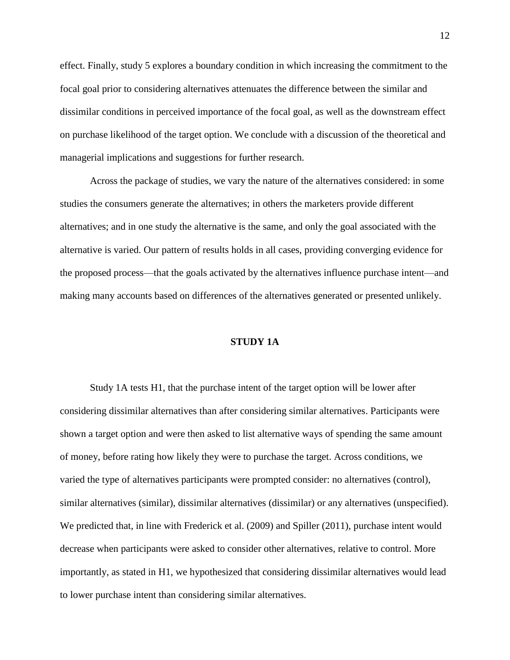effect. Finally, study 5 explores a boundary condition in which increasing the commitment to the focal goal prior to considering alternatives attenuates the difference between the similar and dissimilar conditions in perceived importance of the focal goal, as well as the downstream effect on purchase likelihood of the target option. We conclude with a discussion of the theoretical and managerial implications and suggestions for further research.

Across the package of studies, we vary the nature of the alternatives considered: in some studies the consumers generate the alternatives; in others the marketers provide different alternatives; and in one study the alternative is the same, and only the goal associated with the alternative is varied. Our pattern of results holds in all cases, providing converging evidence for the proposed process—that the goals activated by the alternatives influence purchase intent—and making many accounts based on differences of the alternatives generated or presented unlikely.

## **STUDY 1A**

Study 1A tests H1, that the purchase intent of the target option will be lower after considering dissimilar alternatives than after considering similar alternatives. Participants were shown a target option and were then asked to list alternative ways of spending the same amount of money, before rating how likely they were to purchase the target. Across conditions, we varied the type of alternatives participants were prompted consider: no alternatives (control), similar alternatives (similar), dissimilar alternatives (dissimilar) or any alternatives (unspecified). We predicted that, in line with Frederick et al. (2009) and Spiller (2011), purchase intent would decrease when participants were asked to consider other alternatives, relative to control. More importantly, as stated in H1, we hypothesized that considering dissimilar alternatives would lead to lower purchase intent than considering similar alternatives.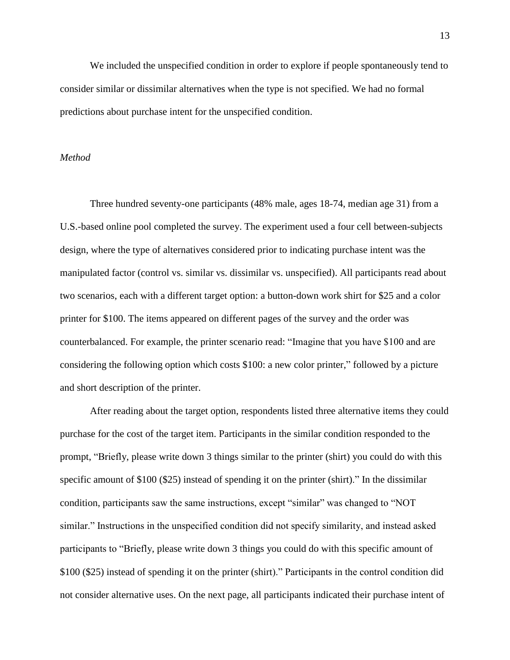We included the unspecified condition in order to explore if people spontaneously tend to consider similar or dissimilar alternatives when the type is not specified. We had no formal predictions about purchase intent for the unspecified condition.

## *Method*

Three hundred seventy-one participants (48% male, ages 18-74, median age 31) from a U.S.-based online pool completed the survey. The experiment used a four cell between-subjects design, where the type of alternatives considered prior to indicating purchase intent was the manipulated factor (control vs. similar vs. dissimilar vs. unspecified). All participants read about two scenarios, each with a different target option: a button-down work shirt for \$25 and a color printer for \$100. The items appeared on different pages of the survey and the order was counterbalanced. For example, the printer scenario read: "Imagine that you have \$100 and are considering the following option which costs \$100: a new color printer," followed by a picture and short description of the printer.

After reading about the target option, respondents listed three alternative items they could purchase for the cost of the target item. Participants in the similar condition responded to the prompt, "Briefly, please write down 3 things similar to the printer (shirt) you could do with this specific amount of \$100 (\$25) instead of spending it on the printer (shirt)." In the dissimilar condition, participants saw the same instructions, except "similar" was changed to "NOT similar." Instructions in the unspecified condition did not specify similarity, and instead asked participants to "Briefly, please write down 3 things you could do with this specific amount of \$100 (\$25) instead of spending it on the printer (shirt)." Participants in the control condition did not consider alternative uses. On the next page, all participants indicated their purchase intent of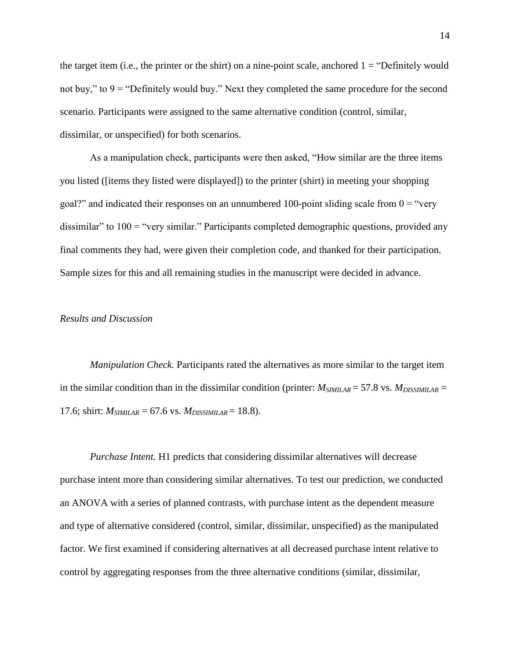the target item (i.e., the printer or the shirt) on a nine-point scale, anchored  $1 =$  "Definitely would not buy," to  $9 =$  "Definitely would buy." Next they completed the same procedure for the second scenario. Participants were assigned to the same alternative condition (control, similar, dissimilar, or unspecified) for both scenarios.

As a manipulation check, participants were then asked, "How similar are the three items you listed ([items they listed were displayed]) to the printer (shirt) in meeting your shopping goal?" and indicated their responses on an unnumbered 100-point sliding scale from  $0 =$ "very dissimilar" to 100 = "very similar." Participants completed demographic questions, provided any final comments they had, were given their completion code, and thanked for their participation. Sample sizes for this and all remaining studies in the manuscript were decided in advance.

## *Results and Discussion*

*Manipulation Check.* Participants rated the alternatives as more similar to the target item in the similar condition than in the dissimilar condition (printer:  $M_{SIMILAR} = 57.8$  vs.  $M_{DISSIMILAR} =$ 17.6; shirt:  $M_{SIMILAR} = 67.6$  vs.  $M_{DISSIMILAR} = 18.8$ ).

*Purchase Intent.* H1 predicts that considering dissimilar alternatives will decrease purchase intent more than considering similar alternatives. To test our prediction, we conducted an ANOVA with a series of planned contrasts, with purchase intent as the dependent measure and type of alternative considered (control, similar, dissimilar, unspecified) as the manipulated factor. We first examined if considering alternatives at all decreased purchase intent relative to control by aggregating responses from the three alternative conditions (similar, dissimilar,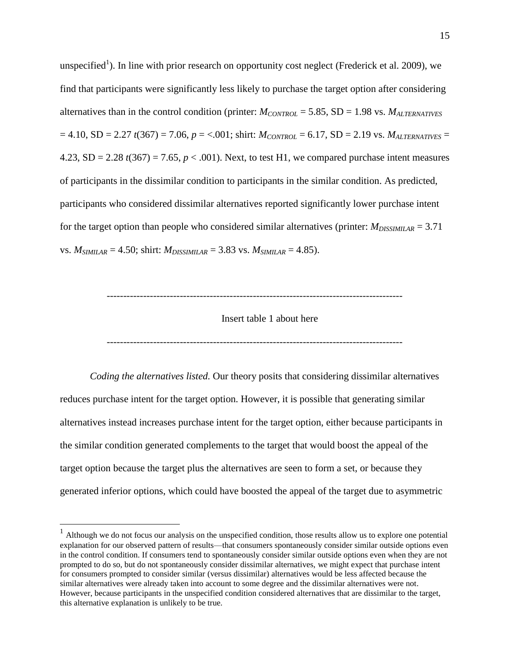unspecified<sup>1</sup>). In line with prior research on opportunity cost neglect (Frederick et al. 2009), we find that participants were significantly less likely to purchase the target option after considering alternatives than in the control condition (printer: *MCONTROL* = 5.85, SD = 1.98 vs. *MALTERNATIVES*  $= 4.10$ , SD = 2.27 *t*(367) = 7.06, *p* = <.001; shirt:  $M_{CONTROL} = 6.17$ , SD = 2.19 vs.  $M_{ALTERNATIVES} =$ 4.23,  $SD = 2.28 t(367) = 7.65$ ,  $p < .001$ ). Next, to test H1, we compared purchase intent measures of participants in the dissimilar condition to participants in the similar condition. As predicted, participants who considered dissimilar alternatives reported significantly lower purchase intent for the target option than people who considered similar alternatives (printer:  $M_{DISSIMILAR} = 3.71$ vs.  $M_{SIMILAR} = 4.50$ ; shirt:  $M_{DISSIMILAR} = 3.83$  vs.  $M_{SIMILAR} = 4.85$ ).

-----------------------------------------------------------------------------------------

Insert table 1 about here

-----------------------------------------------------------------------------------------

*Coding the alternatives listed.* Our theory posits that considering dissimilar alternatives reduces purchase intent for the target option. However, it is possible that generating similar alternatives instead increases purchase intent for the target option, either because participants in the similar condition generated complements to the target that would boost the appeal of the target option because the target plus the alternatives are seen to form a set, or because they generated inferior options, which could have boosted the appeal of the target due to asymmetric

 1 Although we do not focus our analysis on the unspecified condition, those results allow us to explore one potential explanation for our observed pattern of results—that consumers spontaneously consider similar outside options even in the control condition. If consumers tend to spontaneously consider similar outside options even when they are not prompted to do so, but do not spontaneously consider dissimilar alternatives, we might expect that purchase intent for consumers prompted to consider similar (versus dissimilar) alternatives would be less affected because the similar alternatives were already taken into account to some degree and the dissimilar alternatives were not. However, because participants in the unspecified condition considered alternatives that are dissimilar to the target, this alternative explanation is unlikely to be true.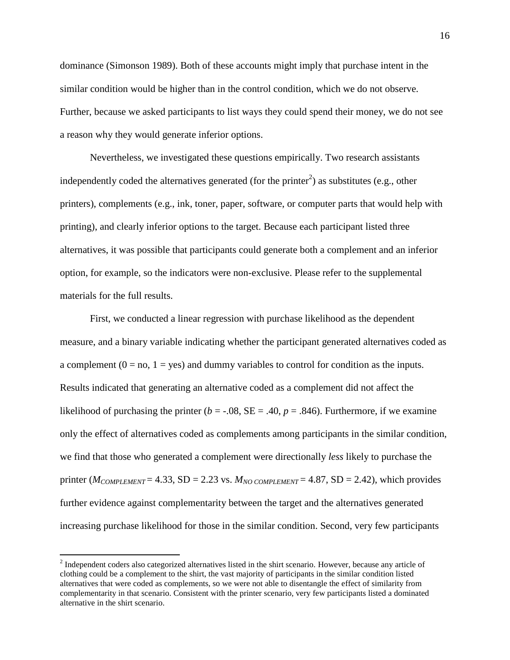dominance (Simonson 1989). Both of these accounts might imply that purchase intent in the similar condition would be higher than in the control condition, which we do not observe. Further, because we asked participants to list ways they could spend their money, we do not see a reason why they would generate inferior options.

Nevertheless, we investigated these questions empirically. Two research assistants independently coded the alternatives generated (for the printer<sup>2</sup>) as substitutes (e.g., other printers), complements (e.g., ink, toner, paper, software, or computer parts that would help with printing), and clearly inferior options to the target. Because each participant listed three alternatives, it was possible that participants could generate both a complement and an inferior option, for example, so the indicators were non-exclusive. Please refer to the supplemental materials for the full results.

First, we conducted a linear regression with purchase likelihood as the dependent measure, and a binary variable indicating whether the participant generated alternatives coded as a complement  $(0 = no, 1 = yes)$  and dummy variables to control for condition as the inputs. Results indicated that generating an alternative coded as a complement did not affect the likelihood of purchasing the printer ( $b = -0.08$ ,  $SE = 0.40$ ,  $p = 0.846$ ). Furthermore, if we examine only the effect of alternatives coded as complements among participants in the similar condition, we find that those who generated a complement were directionally *less* likely to purchase the printer ( $M_{COMPEMENT}$  = 4.33, SD = 2.23 vs.  $M_{NO\ COMPEEMENT}$  = 4.87, SD = 2.42), which provides further evidence against complementarity between the target and the alternatives generated increasing purchase likelihood for those in the similar condition. Second, very few participants

 $\overline{a}$ 

 $2<sup>2</sup>$  Independent coders also categorized alternatives listed in the shirt scenario. However, because any article of clothing could be a complement to the shirt, the vast majority of participants in the similar condition listed alternatives that were coded as complements, so we were not able to disentangle the effect of similarity from complementarity in that scenario. Consistent with the printer scenario, very few participants listed a dominated alternative in the shirt scenario.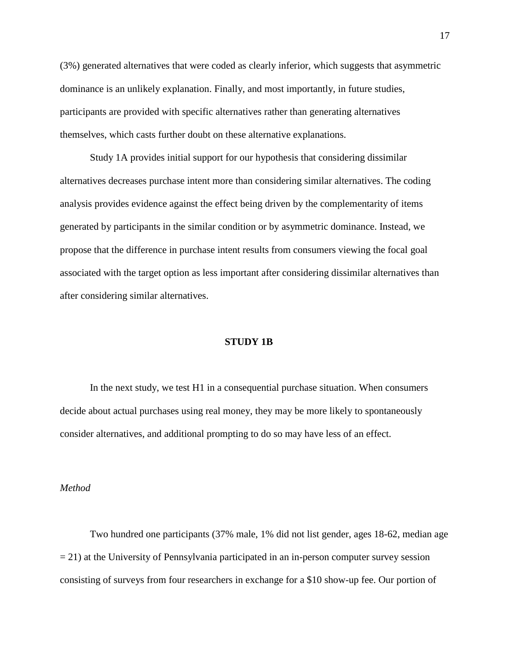(3%) generated alternatives that were coded as clearly inferior, which suggests that asymmetric dominance is an unlikely explanation. Finally, and most importantly, in future studies, participants are provided with specific alternatives rather than generating alternatives themselves, which casts further doubt on these alternative explanations.

Study 1A provides initial support for our hypothesis that considering dissimilar alternatives decreases purchase intent more than considering similar alternatives. The coding analysis provides evidence against the effect being driven by the complementarity of items generated by participants in the similar condition or by asymmetric dominance. Instead, we propose that the difference in purchase intent results from consumers viewing the focal goal associated with the target option as less important after considering dissimilar alternatives than after considering similar alternatives.

### **STUDY 1B**

In the next study, we test H1 in a consequential purchase situation. When consumers decide about actual purchases using real money, they may be more likely to spontaneously consider alternatives, and additional prompting to do so may have less of an effect.

#### *Method*

Two hundred one participants (37% male, 1% did not list gender, ages 18-62, median age  $= 21$ ) at the University of Pennsylvania participated in an in-person computer survey session consisting of surveys from four researchers in exchange for a \$10 show-up fee. Our portion of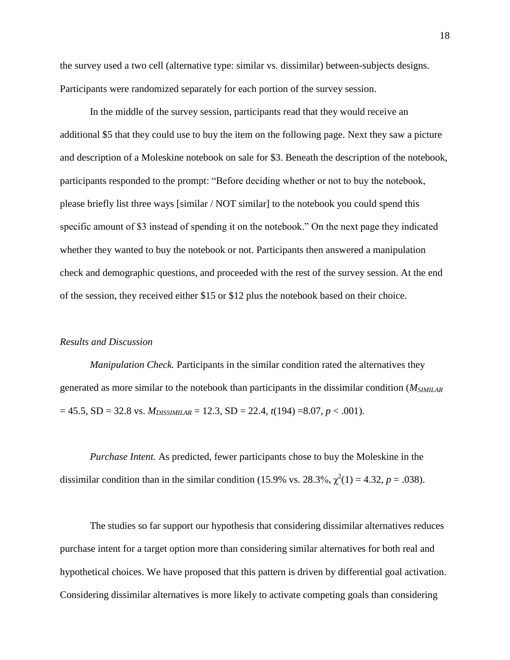the survey used a two cell (alternative type: similar vs. dissimilar) between-subjects designs. Participants were randomized separately for each portion of the survey session.

In the middle of the survey session, participants read that they would receive an additional \$5 that they could use to buy the item on the following page. Next they saw a picture and description of a Moleskine notebook on sale for \$3. Beneath the description of the notebook, participants responded to the prompt: "Before deciding whether or not to buy the notebook, please briefly list three ways [similar / NOT similar] to the notebook you could spend this specific amount of \$3 instead of spending it on the notebook." On the next page they indicated whether they wanted to buy the notebook or not. Participants then answered a manipulation check and demographic questions, and proceeded with the rest of the survey session. At the end of the session, they received either \$15 or \$12 plus the notebook based on their choice.

## *Results and Discussion*

*Manipulation Check.* Participants in the similar condition rated the alternatives they generated as more similar to the notebook than participants in the dissimilar condition (*MSIMILAR*  $= 45.5$ , SD = 32.8 vs.  $M_{DISSIMILAR} = 12.3$ , SD = 22.4,  $t(194) = 8.07$ ,  $p < .001$ ).

*Purchase Intent.* As predicted, fewer participants chose to buy the Moleskine in the dissimilar condition than in the similar condition (15.9% vs. 28.3%,  $\chi^2(1) = 4.32$ ,  $p = .038$ ).

The studies so far support our hypothesis that considering dissimilar alternatives reduces purchase intent for a target option more than considering similar alternatives for both real and hypothetical choices. We have proposed that this pattern is driven by differential goal activation. Considering dissimilar alternatives is more likely to activate competing goals than considering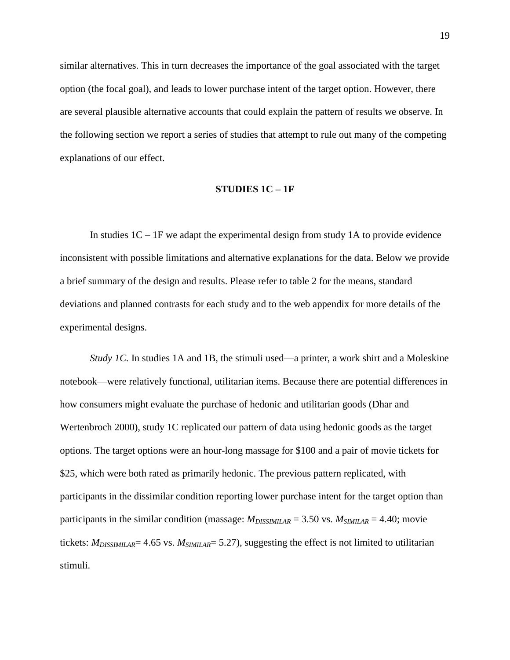similar alternatives. This in turn decreases the importance of the goal associated with the target option (the focal goal), and leads to lower purchase intent of the target option. However, there are several plausible alternative accounts that could explain the pattern of results we observe. In the following section we report a series of studies that attempt to rule out many of the competing explanations of our effect.

#### **STUDIES 1C – 1F**

In studies  $1C - 1F$  we adapt the experimental design from study 1A to provide evidence inconsistent with possible limitations and alternative explanations for the data. Below we provide a brief summary of the design and results. Please refer to table 2 for the means, standard deviations and planned contrasts for each study and to the web appendix for more details of the experimental designs.

*Study 1C.* In studies 1A and 1B, the stimuli used—a printer, a work shirt and a Moleskine notebook—were relatively functional, utilitarian items. Because there are potential differences in how consumers might evaluate the purchase of hedonic and utilitarian goods (Dhar and Wertenbroch 2000), study 1C replicated our pattern of data using hedonic goods as the target options. The target options were an hour-long massage for \$100 and a pair of movie tickets for \$25, which were both rated as primarily hedonic. The previous pattern replicated, with participants in the dissimilar condition reporting lower purchase intent for the target option than participants in the similar condition (massage:  $M_{DISSIMIIAR} = 3.50$  vs.  $M_{SIMIIAR} = 4.40$ ; movie tickets: *MDISSIMILAR*= 4.65 vs. *MSIMILAR*= 5.27), suggesting the effect is not limited to utilitarian stimuli.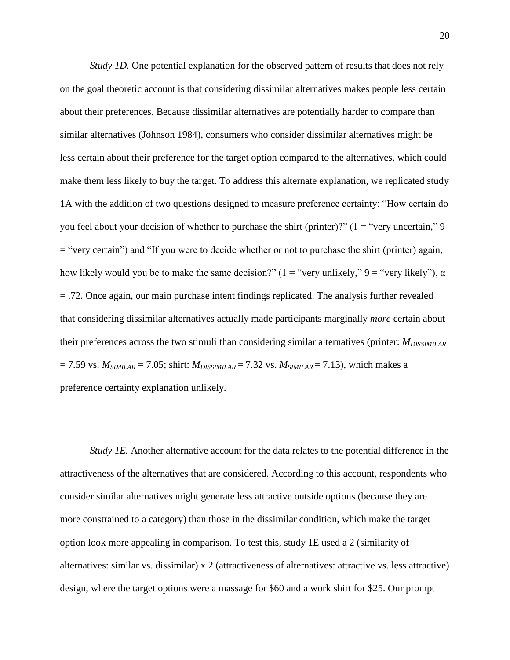*Study 1D.* One potential explanation for the observed pattern of results that does not rely on the goal theoretic account is that considering dissimilar alternatives makes people less certain about their preferences. Because dissimilar alternatives are potentially harder to compare than similar alternatives (Johnson 1984), consumers who consider dissimilar alternatives might be less certain about their preference for the target option compared to the alternatives, which could make them less likely to buy the target. To address this alternate explanation, we replicated study 1A with the addition of two questions designed to measure preference certainty: "How certain do you feel about your decision of whether to purchase the shirt (printer)?" ( $1 =$ "very uncertain," 9 = "very certain") and "If you were to decide whether or not to purchase the shirt (printer) again, how likely would you be to make the same decision?"  $(1 = "very unlikely")$  = "very likely"),  $\alpha$ = .72. Once again, our main purchase intent findings replicated. The analysis further revealed that considering dissimilar alternatives actually made participants marginally *more* certain about their preferences across the two stimuli than considering similar alternatives (printer: *MDISSIMILAR*  $= 7.59$  vs.  $M_{SIMILAR} = 7.05$ ; shirt:  $M_{DISSIMILAR} = 7.32$  vs.  $M_{SIMILAR} = 7.13$ ), which makes a preference certainty explanation unlikely.

*Study 1E.* Another alternative account for the data relates to the potential difference in the attractiveness of the alternatives that are considered. According to this account, respondents who consider similar alternatives might generate less attractive outside options (because they are more constrained to a category) than those in the dissimilar condition, which make the target option look more appealing in comparison. To test this, study 1E used a 2 (similarity of alternatives: similar vs. dissimilar) x 2 (attractiveness of alternatives: attractive vs. less attractive) design, where the target options were a massage for \$60 and a work shirt for \$25. Our prompt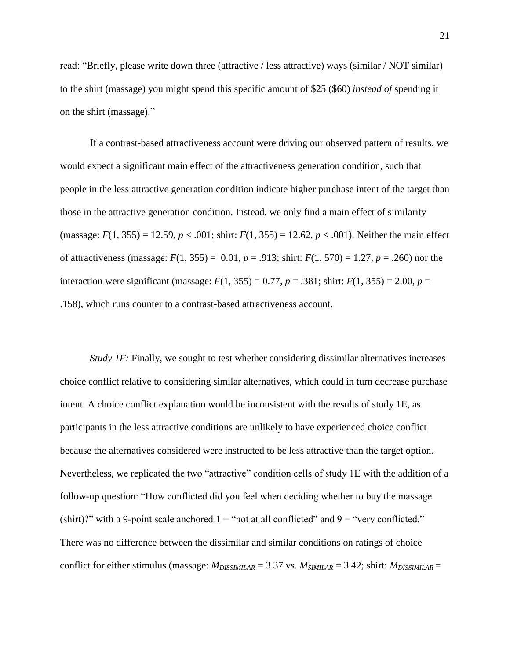read: "Briefly, please write down three (attractive / less attractive) ways (similar / NOT similar) to the shirt (massage) you might spend this specific amount of \$25 (\$60) *instead of* spending it on the shirt (massage)."

If a contrast-based attractiveness account were driving our observed pattern of results, we would expect a significant main effect of the attractiveness generation condition, such that people in the less attractive generation condition indicate higher purchase intent of the target than those in the attractive generation condition. Instead, we only find a main effect of similarity (massage:  $F(1, 355) = 12.59$ ,  $p < .001$ ; shirt:  $F(1, 355) = 12.62$ ,  $p < .001$ ). Neither the main effect of attractiveness (massage:  $F(1, 355) = 0.01$ ,  $p = .913$ ; shirt:  $F(1, 570) = 1.27$ ,  $p = .260$ ) nor the interaction were significant (massage:  $F(1, 355) = 0.77$ ,  $p = .381$ ; shirt:  $F(1, 355) = 2.00$ ,  $p =$ .158), which runs counter to a contrast-based attractiveness account.

*Study IF:* Finally, we sought to test whether considering dissimilar alternatives increases choice conflict relative to considering similar alternatives, which could in turn decrease purchase intent. A choice conflict explanation would be inconsistent with the results of study 1E, as participants in the less attractive conditions are unlikely to have experienced choice conflict because the alternatives considered were instructed to be less attractive than the target option. Nevertheless, we replicated the two "attractive" condition cells of study 1E with the addition of a follow-up question: "How conflicted did you feel when deciding whether to buy the massage (shirt)?" with a 9-point scale anchored  $1 =$ "not at all conflicted" and  $9 =$ "very conflicted." There was no difference between the dissimilar and similar conditions on ratings of choice conflict for either stimulus (massage: *MDISSIMILAR* = 3.37 vs. *MSIMILAR* = 3.42; shirt: *MDISSIMILAR* =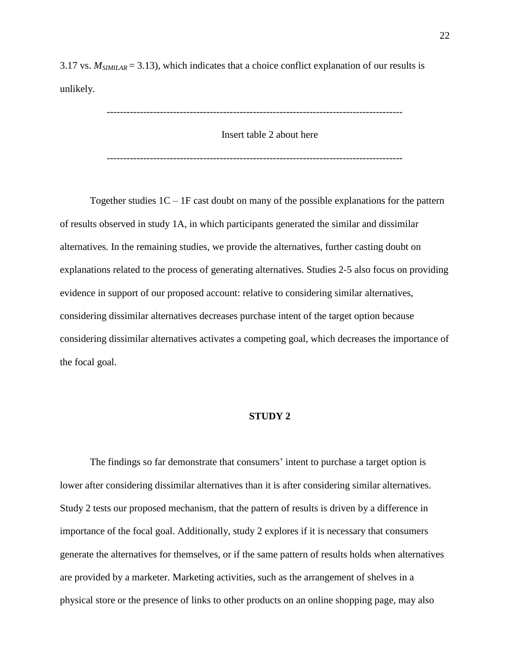3.17 vs.  $M_{SIMIIAR} = 3.13$ ), which indicates that a choice conflict explanation of our results is unlikely.

-----------------------------------------------------------------------------------------

Insert table 2 about here

-----------------------------------------------------------------------------------------

Together studies  $1C - 1F$  cast doubt on many of the possible explanations for the pattern of results observed in study 1A, in which participants generated the similar and dissimilar alternatives. In the remaining studies, we provide the alternatives, further casting doubt on explanations related to the process of generating alternatives. Studies 2-5 also focus on providing evidence in support of our proposed account: relative to considering similar alternatives, considering dissimilar alternatives decreases purchase intent of the target option because considering dissimilar alternatives activates a competing goal, which decreases the importance of the focal goal.

#### **STUDY 2**

The findings so far demonstrate that consumers' intent to purchase a target option is lower after considering dissimilar alternatives than it is after considering similar alternatives. Study 2 tests our proposed mechanism, that the pattern of results is driven by a difference in importance of the focal goal. Additionally, study 2 explores if it is necessary that consumers generate the alternatives for themselves, or if the same pattern of results holds when alternatives are provided by a marketer. Marketing activities, such as the arrangement of shelves in a physical store or the presence of links to other products on an online shopping page, may also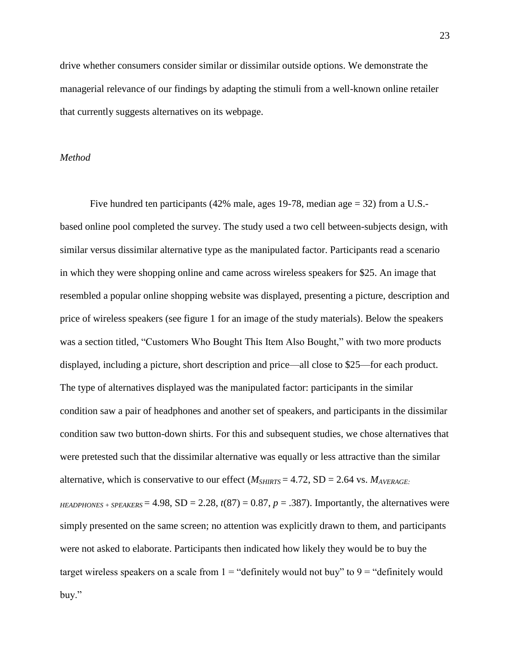drive whether consumers consider similar or dissimilar outside options. We demonstrate the managerial relevance of our findings by adapting the stimuli from a well-known online retailer that currently suggests alternatives on its webpage.

## *Method*

Five hundred ten participants (42% male, ages 19-78, median age = 32) from a U.S. based online pool completed the survey. The study used a two cell between-subjects design, with similar versus dissimilar alternative type as the manipulated factor. Participants read a scenario in which they were shopping online and came across wireless speakers for \$25. An image that resembled a popular online shopping website was displayed, presenting a picture, description and price of wireless speakers (see figure 1 for an image of the study materials). Below the speakers was a section titled, "Customers Who Bought This Item Also Bought," with two more products displayed, including a picture, short description and price—all close to \$25—for each product. The type of alternatives displayed was the manipulated factor: participants in the similar condition saw a pair of headphones and another set of speakers, and participants in the dissimilar condition saw two button-down shirts. For this and subsequent studies, we chose alternatives that were pretested such that the dissimilar alternative was equally or less attractive than the similar alternative, which is conservative to our effect ( $M_{SHIRTS}$  = 4.72, SD = 2.64 vs.  $M_{AVERAGE}$ ) *HEADPHONES + SPEAKERS* = 4.98,  $SD = 2.28$ ,  $t(87) = 0.87$ ,  $p = .387$ ). Importantly, the alternatives were simply presented on the same screen; no attention was explicitly drawn to them, and participants were not asked to elaborate. Participants then indicated how likely they would be to buy the target wireless speakers on a scale from  $1 =$  "definitely would not buy" to  $9 =$  "definitely would buy."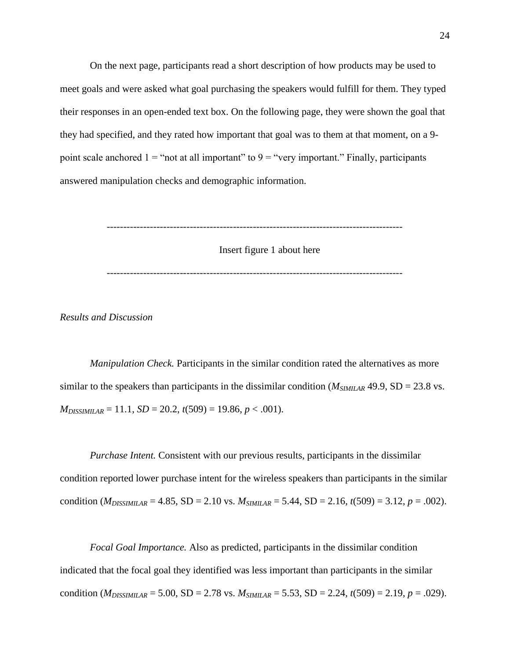On the next page, participants read a short description of how products may be used to meet goals and were asked what goal purchasing the speakers would fulfill for them. They typed their responses in an open-ended text box. On the following page, they were shown the goal that they had specified, and they rated how important that goal was to them at that moment, on a 9 point scale anchored  $1 =$  "not at all important" to  $9 =$  "very important." Finally, participants answered manipulation checks and demographic information.

-----------------------------------------------------------------------------------------

Insert figure 1 about here

-----------------------------------------------------------------------------------------

*Results and Discussion*

*Manipulation Check.* Participants in the similar condition rated the alternatives as more similar to the speakers than participants in the dissimilar condition  $(M_{SIMIIAR} 49.9, SD = 23.8 \text{ vs.})$  $M_{DISSIMILAR} = 11.1$ ,  $SD = 20.2$ ,  $t(509) = 19.86$ ,  $p < .001$ ).

*Purchase Intent.* Consistent with our previous results, participants in the dissimilar condition reported lower purchase intent for the wireless speakers than participants in the similar condition ( $M_{DISSIMIIAR} = 4.85$ , SD = 2.10 vs.  $M_{SIMIIAR} = 5.44$ , SD = 2.16,  $t(509) = 3.12$ ,  $p = .002$ ).

*Focal Goal Importance.* Also as predicted, participants in the dissimilar condition indicated that the focal goal they identified was less important than participants in the similar condition ( $M_{DISSIMILAR}$  = 5.00, SD = 2.78 vs.  $M_{SIMILAR}$  = 5.53, SD = 2.24,  $t(509)$  = 2.19,  $p = .029$ ).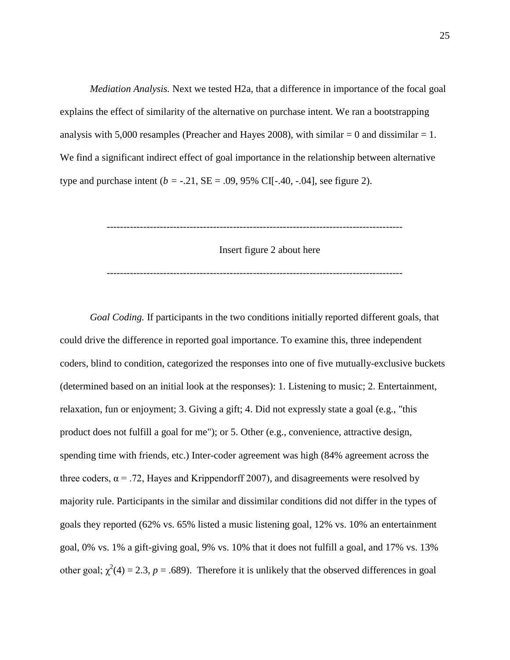*Mediation Analysis.* Next we tested H2a, that a difference in importance of the focal goal explains the effect of similarity of the alternative on purchase intent. We ran a bootstrapping analysis with 5,000 resamples (Preacher and Hayes 2008), with similar  $= 0$  and dissimilar  $= 1$ . We find a significant indirect effect of goal importance in the relationship between alternative type and purchase intent ( $b = -.21$ ,  $SE = .09$ , 95% CI[-.40, -.04], see figure 2).

-----------------------------------------------------------------------------------------

Insert figure 2 about here

-----------------------------------------------------------------------------------------

*Goal Coding.* If participants in the two conditions initially reported different goals, that could drive the difference in reported goal importance. To examine this, three independent coders, blind to condition, categorized the responses into one of five mutually-exclusive buckets (determined based on an initial look at the responses): 1. Listening to music; 2. Entertainment, relaxation, fun or enjoyment; 3. Giving a gift; 4. Did not expressly state a goal (e.g., "this product does not fulfill a goal for me"); or 5. Other (e.g., convenience, attractive design, spending time with friends, etc.) Inter-coder agreement was high (84% agreement across the three coders,  $\alpha = .72$ , Hayes and Krippendorff 2007), and disagreements were resolved by majority rule. Participants in the similar and dissimilar conditions did not differ in the types of goals they reported (62% vs. 65% listed a music listening goal, 12% vs. 10% an entertainment goal, 0% vs. 1% a gift-giving goal, 9% vs. 10% that it does not fulfill a goal, and 17% vs. 13% other goal;  $\chi^2(4) = 2.3$ ,  $p = .689$ ). Therefore it is unlikely that the observed differences in goal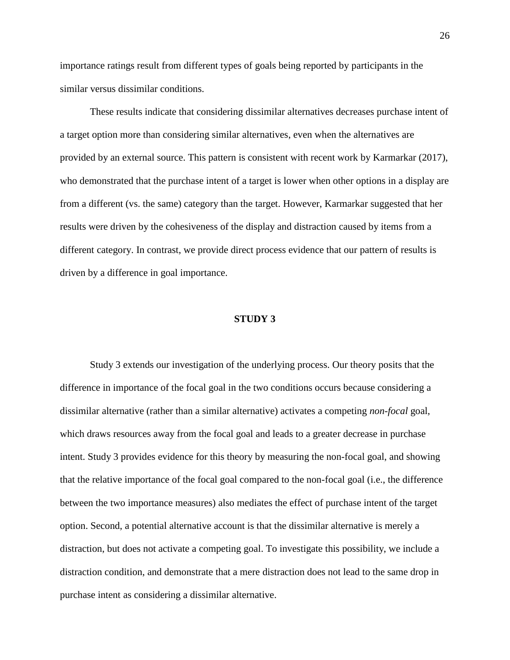importance ratings result from different types of goals being reported by participants in the similar versus dissimilar conditions.

These results indicate that considering dissimilar alternatives decreases purchase intent of a target option more than considering similar alternatives, even when the alternatives are provided by an external source. This pattern is consistent with recent work by Karmarkar (2017), who demonstrated that the purchase intent of a target is lower when other options in a display are from a different (vs. the same) category than the target. However, Karmarkar suggested that her results were driven by the cohesiveness of the display and distraction caused by items from a different category. In contrast, we provide direct process evidence that our pattern of results is driven by a difference in goal importance.

#### **STUDY 3**

Study 3 extends our investigation of the underlying process. Our theory posits that the difference in importance of the focal goal in the two conditions occurs because considering a dissimilar alternative (rather than a similar alternative) activates a competing *non-focal* goal, which draws resources away from the focal goal and leads to a greater decrease in purchase intent. Study 3 provides evidence for this theory by measuring the non-focal goal, and showing that the relative importance of the focal goal compared to the non-focal goal (i.e., the difference between the two importance measures) also mediates the effect of purchase intent of the target option. Second, a potential alternative account is that the dissimilar alternative is merely a distraction, but does not activate a competing goal. To investigate this possibility, we include a distraction condition, and demonstrate that a mere distraction does not lead to the same drop in purchase intent as considering a dissimilar alternative.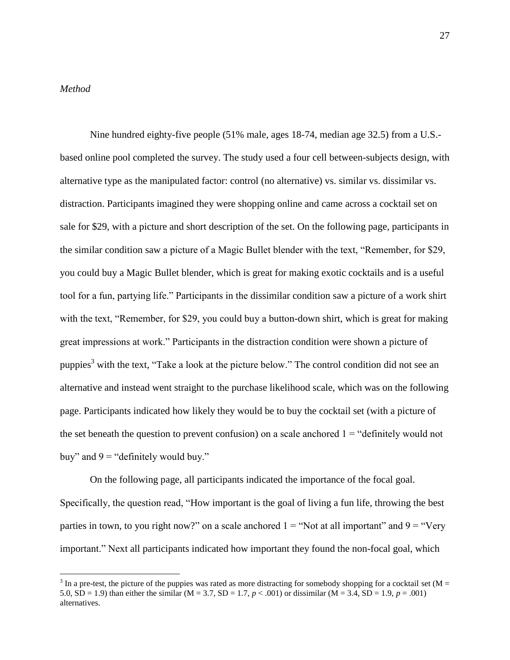## *Method*

 $\overline{a}$ 

Nine hundred eighty-five people (51% male, ages 18-74, median age 32.5) from a U.S. based online pool completed the survey. The study used a four cell between-subjects design, with alternative type as the manipulated factor: control (no alternative) vs. similar vs. dissimilar vs. distraction. Participants imagined they were shopping online and came across a cocktail set on sale for \$29, with a picture and short description of the set. On the following page, participants in the similar condition saw a picture of a Magic Bullet blender with the text, "Remember, for \$29, you could buy a Magic Bullet blender, which is great for making exotic cocktails and is a useful tool for a fun, partying life." Participants in the dissimilar condition saw a picture of a work shirt with the text, "Remember, for \$29, you could buy a button-down shirt, which is great for making great impressions at work." Participants in the distraction condition were shown a picture of puppies<sup>3</sup> with the text, "Take a look at the picture below." The control condition did not see an alternative and instead went straight to the purchase likelihood scale, which was on the following page. Participants indicated how likely they would be to buy the cocktail set (with a picture of the set beneath the question to prevent confusion) on a scale anchored  $1 =$  "definitely would not buy" and  $9 =$  "definitely would buy."

On the following page, all participants indicated the importance of the focal goal. Specifically, the question read, "How important is the goal of living a fun life, throwing the best parties in town, to you right now?" on a scale anchored  $1 =$  "Not at all important" and  $9 =$  "Very important." Next all participants indicated how important they found the non-focal goal, which

 $3 \text{ In a pre-test, the picture of the puppies was rated as more distracting for somebody shopping for a cocktail set (M = 1) and (M = 1) and (M = 1) are the same.}$ 5.0,  $SD = 1.9$ ) than either the similar (M = 3.7,  $SD = 1.7$ ,  $p < .001$ ) or dissimilar (M = 3.4,  $SD = 1.9$ ,  $p = .001$ ) alternatives.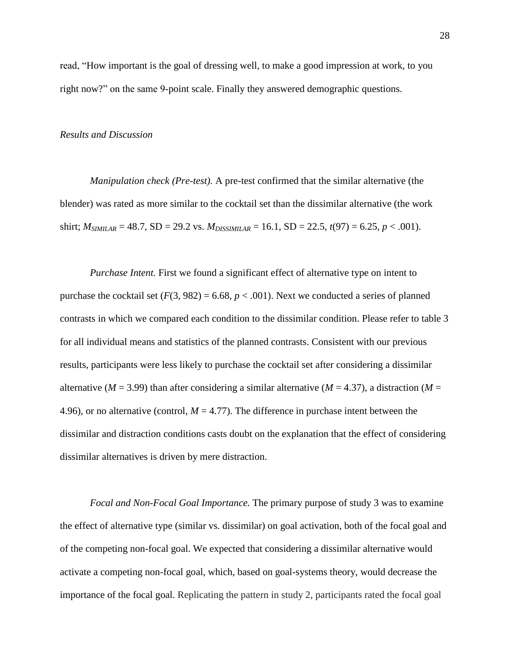read, "How important is the goal of dressing well, to make a good impression at work, to you right now?" on the same 9-point scale. Finally they answered demographic questions.

#### *Results and Discussion*

*Manipulation check (Pre-test).* A pre-test confirmed that the similar alternative (the blender) was rated as more similar to the cocktail set than the dissimilar alternative (the work shirt;  $M_{SIMILAR} = 48.7$ , SD = 29.2 vs.  $M_{DISSMILAR} = 16.1$ , SD = 22.5,  $t(97) = 6.25$ ,  $p < .001$ ).

*Purchase Intent.* First we found a significant effect of alternative type on intent to purchase the cocktail set  $(F(3, 982) = 6.68, p < .001)$ . Next we conducted a series of planned contrasts in which we compared each condition to the dissimilar condition. Please refer to table 3 for all individual means and statistics of the planned contrasts. Consistent with our previous results, participants were less likely to purchase the cocktail set after considering a dissimilar alternative ( $M = 3.99$ ) than after considering a similar alternative ( $M = 4.37$ ), a distraction ( $M =$ 4.96), or no alternative (control,  $M = 4.77$ ). The difference in purchase intent between the dissimilar and distraction conditions casts doubt on the explanation that the effect of considering dissimilar alternatives is driven by mere distraction.

*Focal and Non-Focal Goal Importance.* The primary purpose of study 3 was to examine the effect of alternative type (similar vs. dissimilar) on goal activation, both of the focal goal and of the competing non-focal goal. We expected that considering a dissimilar alternative would activate a competing non-focal goal, which, based on goal-systems theory, would decrease the importance of the focal goal. Replicating the pattern in study 2, participants rated the focal goal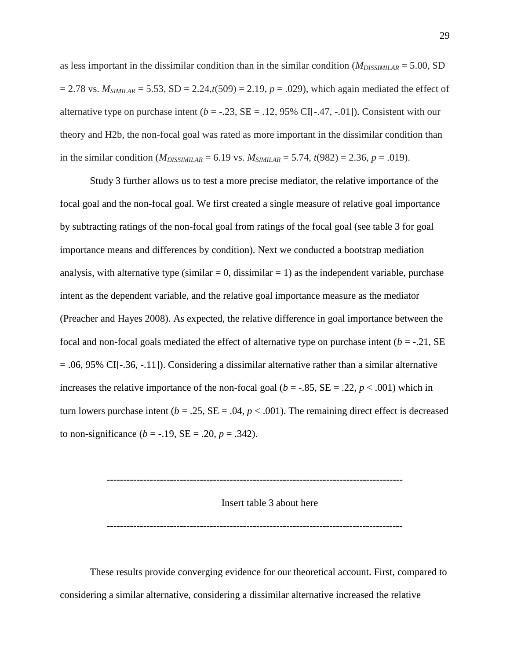as less important in the dissimilar condition than in the similar condition (*MDISSIMILAR* = 5.00, SD  $= 2.78$  vs.  $M_{SIMILAR} = 5.53$ , SD = 2.24, $t(509) = 2.19$ ,  $p = .029$ ), which again mediated the effect of alternative type on purchase intent  $(b = -0.23, SE = 0.12, 95\% \text{ CI}[-0.47, -0.01])$ . Consistent with our theory and H2b, the non-focal goal was rated as more important in the dissimilar condition than in the similar condition ( $M_{DISSIMILAR} = 6.19$  vs.  $M_{SIMILAR} = 5.74$ ,  $t(982) = 2.36$ ,  $p = .019$ ).

Study 3 further allows us to test a more precise mediator, the relative importance of the focal goal and the non-focal goal. We first created a single measure of relative goal importance by subtracting ratings of the non-focal goal from ratings of the focal goal (see table 3 for goal importance means and differences by condition). Next we conducted a bootstrap mediation analysis, with alternative type (similar  $= 0$ , dissimilar  $= 1$ ) as the independent variable, purchase intent as the dependent variable, and the relative goal importance measure as the mediator (Preacher and Hayes 2008). As expected, the relative difference in goal importance between the focal and non-focal goals mediated the effect of alternative type on purchase intent  $(b = -0.21, SE)$  $= .06, 95\%$  CI[ $-.36, -.11$ ]). Considering a dissimilar alternative rather than a similar alternative increases the relative importance of the non-focal goal ( $b = -0.85$ ,  $SE = 0.22$ ,  $p < 0.001$ ) which in turn lowers purchase intent ( $b = .25$ ,  $SE = .04$ ,  $p < .001$ ). The remaining direct effect is decreased to non-significance ( $b = -.19$ ,  $SE = .20$ ,  $p = .342$ ).

Insert table 3 about here

-----------------------------------------------------------------------------------------

-----------------------------------------------------------------------------------------

These results provide converging evidence for our theoretical account. First, compared to considering a similar alternative, considering a dissimilar alternative increased the relative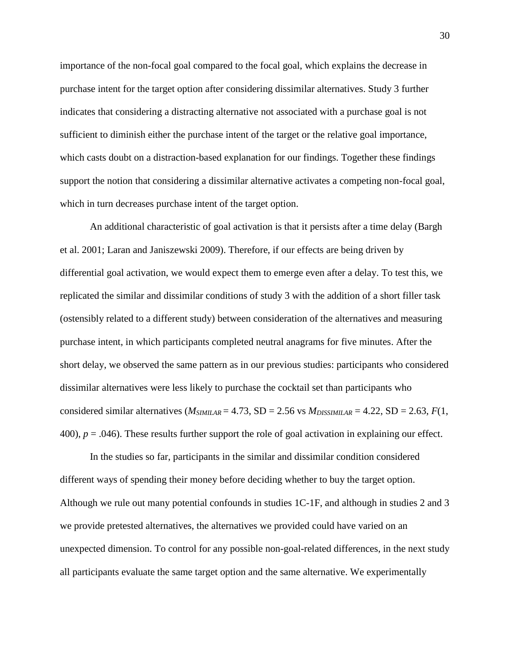importance of the non-focal goal compared to the focal goal, which explains the decrease in purchase intent for the target option after considering dissimilar alternatives. Study 3 further indicates that considering a distracting alternative not associated with a purchase goal is not sufficient to diminish either the purchase intent of the target or the relative goal importance, which casts doubt on a distraction-based explanation for our findings. Together these findings support the notion that considering a dissimilar alternative activates a competing non-focal goal, which in turn decreases purchase intent of the target option.

An additional characteristic of goal activation is that it persists after a time delay (Bargh et al. 2001; Laran and Janiszewski 2009). Therefore, if our effects are being driven by differential goal activation, we would expect them to emerge even after a delay. To test this, we replicated the similar and dissimilar conditions of study 3 with the addition of a short filler task (ostensibly related to a different study) between consideration of the alternatives and measuring purchase intent, in which participants completed neutral anagrams for five minutes. After the short delay, we observed the same pattern as in our previous studies: participants who considered dissimilar alternatives were less likely to purchase the cocktail set than participants who considered similar alternatives ( $M_{SIMILAR} = 4.73$ , SD = 2.56 vs  $M_{DISSIMILAR} = 4.22$ , SD = 2.63,  $F(1)$ , 400), *p* = .046). These results further support the role of goal activation in explaining our effect.

In the studies so far, participants in the similar and dissimilar condition considered different ways of spending their money before deciding whether to buy the target option. Although we rule out many potential confounds in studies 1C-1F, and although in studies 2 and 3 we provide pretested alternatives, the alternatives we provided could have varied on an unexpected dimension. To control for any possible non-goal-related differences, in the next study all participants evaluate the same target option and the same alternative. We experimentally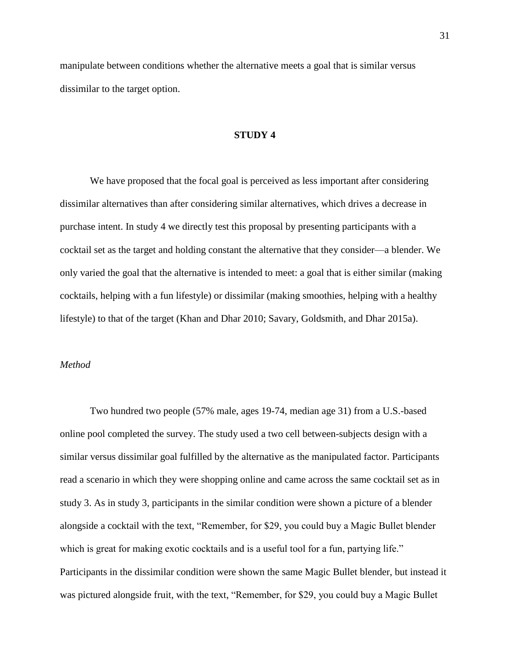manipulate between conditions whether the alternative meets a goal that is similar versus dissimilar to the target option.

### **STUDY 4**

We have proposed that the focal goal is perceived as less important after considering dissimilar alternatives than after considering similar alternatives, which drives a decrease in purchase intent. In study 4 we directly test this proposal by presenting participants with a cocktail set as the target and holding constant the alternative that they consider—a blender. We only varied the goal that the alternative is intended to meet: a goal that is either similar (making cocktails, helping with a fun lifestyle) or dissimilar (making smoothies, helping with a healthy lifestyle) to that of the target (Khan and Dhar 2010; Savary, Goldsmith, and Dhar 2015a).

### *Method*

Two hundred two people (57% male, ages 19-74, median age 31) from a U.S.-based online pool completed the survey. The study used a two cell between-subjects design with a similar versus dissimilar goal fulfilled by the alternative as the manipulated factor. Participants read a scenario in which they were shopping online and came across the same cocktail set as in study 3. As in study 3, participants in the similar condition were shown a picture of a blender alongside a cocktail with the text, "Remember, for \$29, you could buy a Magic Bullet blender which is great for making exotic cocktails and is a useful tool for a fun, partying life." Participants in the dissimilar condition were shown the same Magic Bullet blender, but instead it was pictured alongside fruit, with the text, "Remember, for \$29, you could buy a Magic Bullet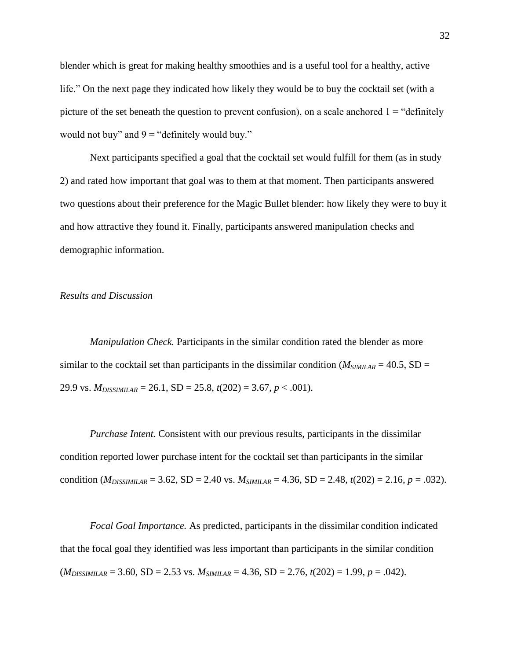blender which is great for making healthy smoothies and is a useful tool for a healthy, active life." On the next page they indicated how likely they would be to buy the cocktail set (with a picture of the set beneath the question to prevent confusion), on a scale anchored  $1 =$  "definitely" would not buy" and  $9 =$  "definitely would buy."

Next participants specified a goal that the cocktail set would fulfill for them (as in study 2) and rated how important that goal was to them at that moment. Then participants answered two questions about their preference for the Magic Bullet blender: how likely they were to buy it and how attractive they found it. Finally, participants answered manipulation checks and demographic information.

### *Results and Discussion*

*Manipulation Check.* Participants in the similar condition rated the blender as more similar to the cocktail set than participants in the dissimilar condition ( $M_{SIMILAR} = 40.5$ , SD = 29.9 vs. *MDISSIMILAR* = 26.1, SD = 25.8, *t*(202) = 3.67, *p* < .001).

*Purchase Intent.* Consistent with our previous results, participants in the dissimilar condition reported lower purchase intent for the cocktail set than participants in the similar condition ( $M_{DISSIMILAR}$  = 3.62, SD = 2.40 vs.  $M_{SIMILAR}$  = 4.36, SD = 2.48,  $t(202)$  = 2.16,  $p = .032$ ).

*Focal Goal Importance.* As predicted, participants in the dissimilar condition indicated that the focal goal they identified was less important than participants in the similar condition  $(M_{DISSIMILAR} = 3.60, SD = 2.53$  vs.  $M_{SIMILAR} = 4.36, SD = 2.76, t(202) = 1.99, p = .042$ .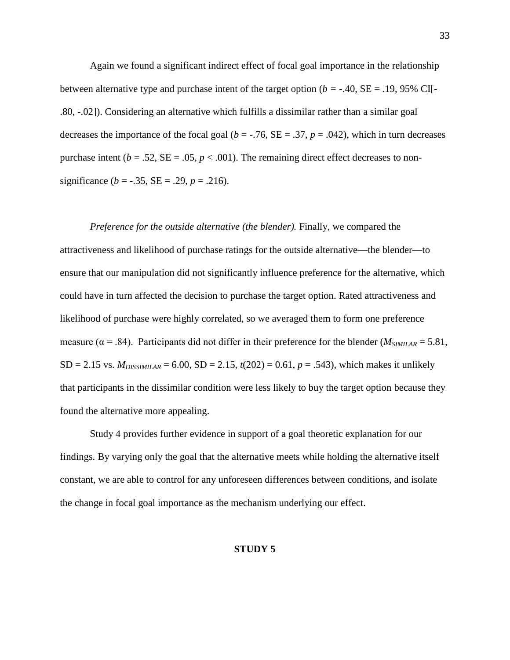Again we found a significant indirect effect of focal goal importance in the relationship between alternative type and purchase intent of the target option (*b = -*.40, SE = .19, 95% CI[- .80, -.02]). Considering an alternative which fulfills a dissimilar rather than a similar goal decreases the importance of the focal goal ( $b = -0.76$ ,  $SE = 0.37$ ,  $p = 0.042$ ), which in turn decreases purchase intent ( $b = .52$ ,  $SE = .05$ ,  $p < .001$ ). The remaining direct effect decreases to nonsignificance ( $b = -.35$ ,  $SE = .29$ ,  $p = .216$ ).

*Preference for the outside alternative (the blender).* Finally, we compared the attractiveness and likelihood of purchase ratings for the outside alternative—the blender—to ensure that our manipulation did not significantly influence preference for the alternative, which could have in turn affected the decision to purchase the target option. Rated attractiveness and likelihood of purchase were highly correlated, so we averaged them to form one preference measure ( $\alpha$  = .84). Participants did not differ in their preference for the blender ( $M_{SIMILAR}$  = 5.81, SD = 2.15 vs.  $M_{DISSIMILAR}$  = 6.00, SD = 2.15,  $t(202)$  = 0.61,  $p = .543$ ), which makes it unlikely that participants in the dissimilar condition were less likely to buy the target option because they found the alternative more appealing.

Study 4 provides further evidence in support of a goal theoretic explanation for our findings. By varying only the goal that the alternative meets while holding the alternative itself constant, we are able to control for any unforeseen differences between conditions, and isolate the change in focal goal importance as the mechanism underlying our effect.

#### **STUDY 5**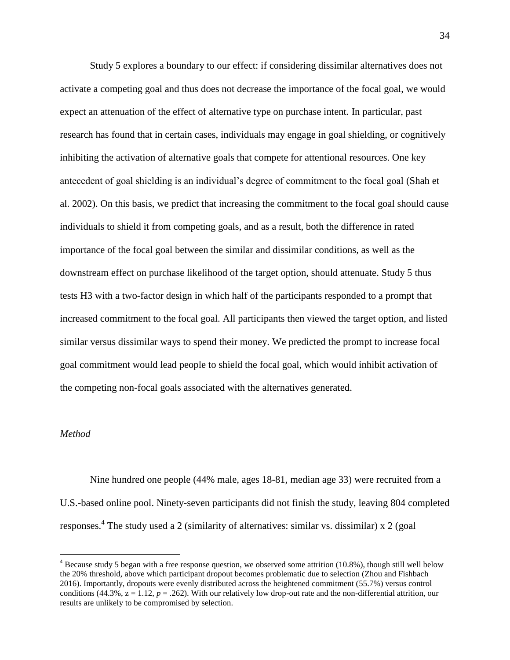Study 5 explores a boundary to our effect: if considering dissimilar alternatives does not activate a competing goal and thus does not decrease the importance of the focal goal, we would expect an attenuation of the effect of alternative type on purchase intent. In particular, past research has found that in certain cases, individuals may engage in goal shielding, or cognitively inhibiting the activation of alternative goals that compete for attentional resources. One key antecedent of goal shielding is an individual's degree of commitment to the focal goal (Shah et al. 2002). On this basis, we predict that increasing the commitment to the focal goal should cause individuals to shield it from competing goals, and as a result, both the difference in rated importance of the focal goal between the similar and dissimilar conditions, as well as the downstream effect on purchase likelihood of the target option, should attenuate. Study 5 thus tests H3 with a two-factor design in which half of the participants responded to a prompt that increased commitment to the focal goal. All participants then viewed the target option, and listed similar versus dissimilar ways to spend their money. We predicted the prompt to increase focal goal commitment would lead people to shield the focal goal, which would inhibit activation of the competing non-focal goals associated with the alternatives generated.

### *Method*

 $\overline{a}$ 

Nine hundred one people (44% male, ages 18-81, median age 33) were recruited from a U.S.-based online pool. Ninety-seven participants did not finish the study, leaving 804 completed responses. 4 The study used a 2 (similarity of alternatives: similar vs. dissimilar) x 2 (goal

 $4$  Because study 5 began with a free response question, we observed some attrition (10.8%), though still well below the 20% threshold, above which participant dropout becomes problematic due to selection (Zhou and Fishbach 2016). Importantly, dropouts were evenly distributed across the heightened commitment (55.7%) versus control conditions (44.3%,  $z = 1.12$ ,  $p = .262$ ). With our relatively low drop-out rate and the non-differential attrition, our results are unlikely to be compromised by selection.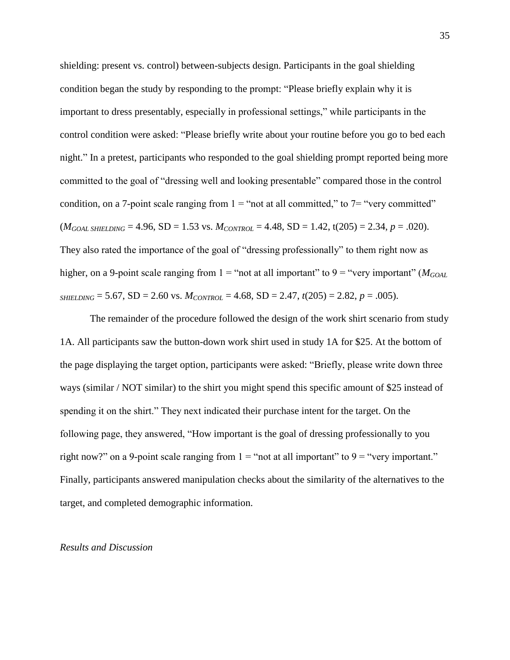shielding: present vs. control) between-subjects design. Participants in the goal shielding condition began the study by responding to the prompt: "Please briefly explain why it is important to dress presentably, especially in professional settings," while participants in the control condition were asked: "Please briefly write about your routine before you go to bed each night." In a pretest, participants who responded to the goal shielding prompt reported being more committed to the goal of "dressing well and looking presentable" compared those in the control condition, on a 7-point scale ranging from  $1 =$  "not at all committed," to  $7 =$  "very committed"  $(M_{GOML SHIELDING} = 4.96$ ,  $SD = 1.53$  vs.  $M_{CONTROL} = 4.48$ ,  $SD = 1.42$ ,  $t(205) = 2.34$ ,  $p = .020$ ). They also rated the importance of the goal of "dressing professionally" to them right now as higher, on a 9-point scale ranging from  $1 =$  "not at all important" to  $9 =$  "very important" ( $M_{GOML}$ ) *SHIELDING* = 5.67, SD = 2.60 vs.  $M_{CONTROL}$  = 4.68, SD = 2.47,  $t(205)$  = 2.82,  $p = .005$ ).

The remainder of the procedure followed the design of the work shirt scenario from study 1A. All participants saw the button-down work shirt used in study 1A for \$25. At the bottom of the page displaying the target option, participants were asked: "Briefly, please write down three ways (similar / NOT similar) to the shirt you might spend this specific amount of \$25 instead of spending it on the shirt." They next indicated their purchase intent for the target. On the following page, they answered, "How important is the goal of dressing professionally to you right now?" on a 9-point scale ranging from  $1 =$ "not at all important" to  $9 =$ "very important." Finally, participants answered manipulation checks about the similarity of the alternatives to the target, and completed demographic information.

#### *Results and Discussion*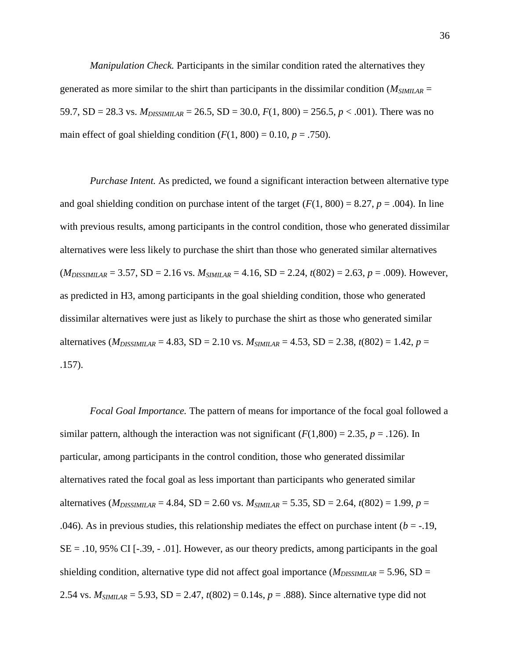*Manipulation Check.* Participants in the similar condition rated the alternatives they generated as more similar to the shirt than participants in the dissimilar condition ( $M_{SIMIIAR}$  = 59.7, SD = 28.3 vs.  $M_{DISSIMILAR}$  = 26.5, SD = 30.0,  $F(1, 800)$  = 256.5,  $p < .001$ ). There was no main effect of goal shielding condition  $(F(1, 800) = 0.10, p = .750)$ .

*Purchase Intent.* As predicted, we found a significant interaction between alternative type and goal shielding condition on purchase intent of the target  $(F(1, 800) = 8.27, p = .004)$ . In line with previous results, among participants in the control condition, those who generated dissimilar alternatives were less likely to purchase the shirt than those who generated similar alternatives (*MDISSIMILAR* = 3.57, SD = 2.16 vs. *MSIMILAR* = 4.16, SD = 2.24, *t*(802) = 2.63, *p* = .009). However, as predicted in H3, among participants in the goal shielding condition, those who generated dissimilar alternatives were just as likely to purchase the shirt as those who generated similar alternatives ( $M_{DISSIMILAR}$  = 4.83, SD = 2.10 vs.  $M_{SIMILAR}$  = 4.53, SD = 2.38,  $t(802)$  = 1.42,  $p =$ .157).

*Focal Goal Importance.* The pattern of means for importance of the focal goal followed a similar pattern, although the interaction was not significant  $(F(1,800) = 2.35, p = .126)$ . In particular, among participants in the control condition, those who generated dissimilar alternatives rated the focal goal as less important than participants who generated similar alternatives ( $M_{DISSIMILAR}$  = 4.84, SD = 2.60 vs.  $M_{SIMILAR}$  = 5.35, SD = 2.64,  $t(802)$  = 1.99,  $p =$ .046). As in previous studies, this relationship mediates the effect on purchase intent  $(b = -19,$  $SE = .10, 95\% \text{ CI}$  [-.39, - .01]. However, as our theory predicts, among participants in the goal shielding condition, alternative type did not affect goal importance  $(M_{DISSIMILAR} = 5.96, SD =$ 2.54 vs. *MSIMILAR* = 5.93, SD = 2.47, *t*(802) = 0.14s, *p* = .888). Since alternative type did not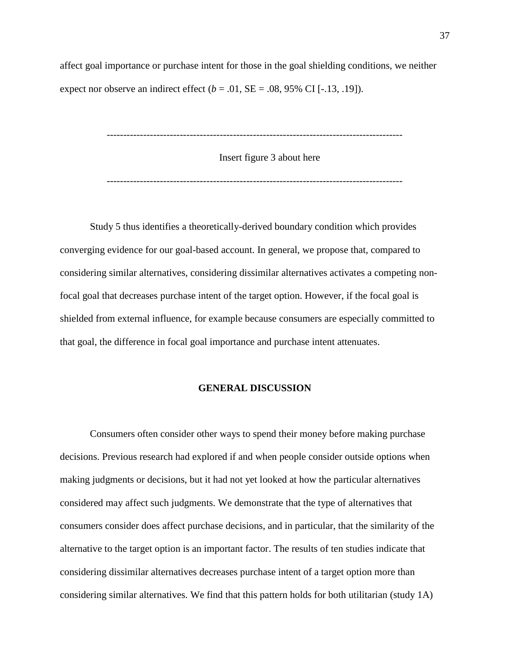affect goal importance or purchase intent for those in the goal shielding conditions, we neither expect nor observe an indirect effect  $(b = .01, SE = .08, 95\% \text{ CI} [-.13, .19])$ .

-----------------------------------------------------------------------------------------

Insert figure 3 about here

-----------------------------------------------------------------------------------------

Study 5 thus identifies a theoretically-derived boundary condition which provides converging evidence for our goal-based account. In general, we propose that, compared to considering similar alternatives, considering dissimilar alternatives activates a competing nonfocal goal that decreases purchase intent of the target option. However, if the focal goal is shielded from external influence, for example because consumers are especially committed to that goal, the difference in focal goal importance and purchase intent attenuates.

### **GENERAL DISCUSSION**

Consumers often consider other ways to spend their money before making purchase decisions. Previous research had explored if and when people consider outside options when making judgments or decisions, but it had not yet looked at how the particular alternatives considered may affect such judgments. We demonstrate that the type of alternatives that consumers consider does affect purchase decisions, and in particular, that the similarity of the alternative to the target option is an important factor. The results of ten studies indicate that considering dissimilar alternatives decreases purchase intent of a target option more than considering similar alternatives. We find that this pattern holds for both utilitarian (study 1A)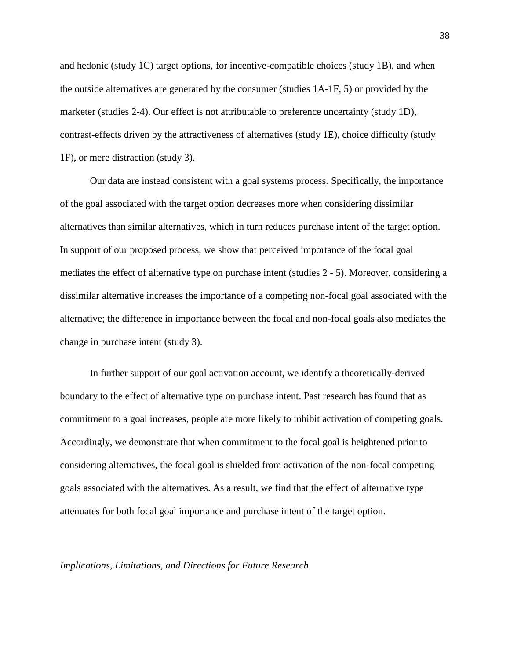and hedonic (study 1C) target options, for incentive-compatible choices (study 1B), and when the outside alternatives are generated by the consumer (studies 1A-1F, 5) or provided by the marketer (studies 2-4). Our effect is not attributable to preference uncertainty (study 1D), contrast-effects driven by the attractiveness of alternatives (study 1E), choice difficulty (study 1F), or mere distraction (study 3).

Our data are instead consistent with a goal systems process. Specifically, the importance of the goal associated with the target option decreases more when considering dissimilar alternatives than similar alternatives, which in turn reduces purchase intent of the target option. In support of our proposed process, we show that perceived importance of the focal goal mediates the effect of alternative type on purchase intent (studies 2 - 5). Moreover, considering a dissimilar alternative increases the importance of a competing non-focal goal associated with the alternative; the difference in importance between the focal and non-focal goals also mediates the change in purchase intent (study 3).

In further support of our goal activation account, we identify a theoretically-derived boundary to the effect of alternative type on purchase intent. Past research has found that as commitment to a goal increases, people are more likely to inhibit activation of competing goals. Accordingly, we demonstrate that when commitment to the focal goal is heightened prior to considering alternatives, the focal goal is shielded from activation of the non-focal competing goals associated with the alternatives. As a result, we find that the effect of alternative type attenuates for both focal goal importance and purchase intent of the target option.

## *Implications, Limitations, and Directions for Future Research*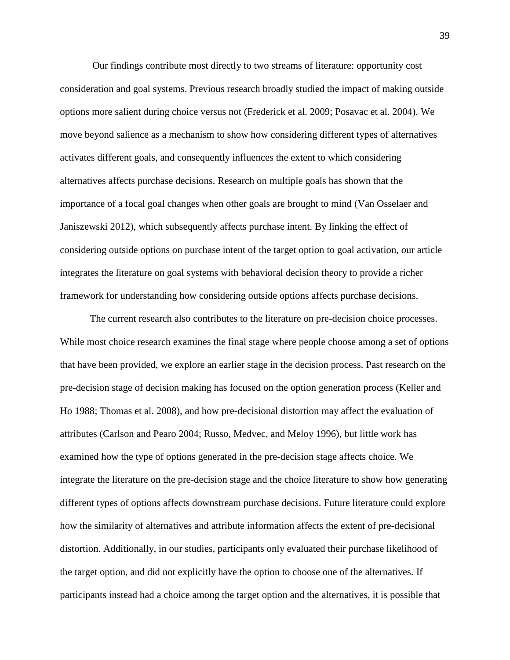Our findings contribute most directly to two streams of literature: opportunity cost consideration and goal systems. Previous research broadly studied the impact of making outside options more salient during choice versus not (Frederick et al. 2009; Posavac et al. 2004). We move beyond salience as a mechanism to show how considering different types of alternatives activates different goals, and consequently influences the extent to which considering alternatives affects purchase decisions. Research on multiple goals has shown that the importance of a focal goal changes when other goals are brought to mind (Van Osselaer and Janiszewski 2012), which subsequently affects purchase intent. By linking the effect of considering outside options on purchase intent of the target option to goal activation, our article integrates the literature on goal systems with behavioral decision theory to provide a richer framework for understanding how considering outside options affects purchase decisions.

The current research also contributes to the literature on pre-decision choice processes. While most choice research examines the final stage where people choose among a set of options that have been provided, we explore an earlier stage in the decision process. Past research on the pre-decision stage of decision making has focused on the option generation process (Keller and Ho 1988; Thomas et al. 2008), and how pre-decisional distortion may affect the evaluation of attributes (Carlson and Pearo 2004; Russo, Medvec, and Meloy 1996), but little work has examined how the type of options generated in the pre-decision stage affects choice. We integrate the literature on the pre-decision stage and the choice literature to show how generating different types of options affects downstream purchase decisions. Future literature could explore how the similarity of alternatives and attribute information affects the extent of pre-decisional distortion. Additionally, in our studies, participants only evaluated their purchase likelihood of the target option, and did not explicitly have the option to choose one of the alternatives. If participants instead had a choice among the target option and the alternatives, it is possible that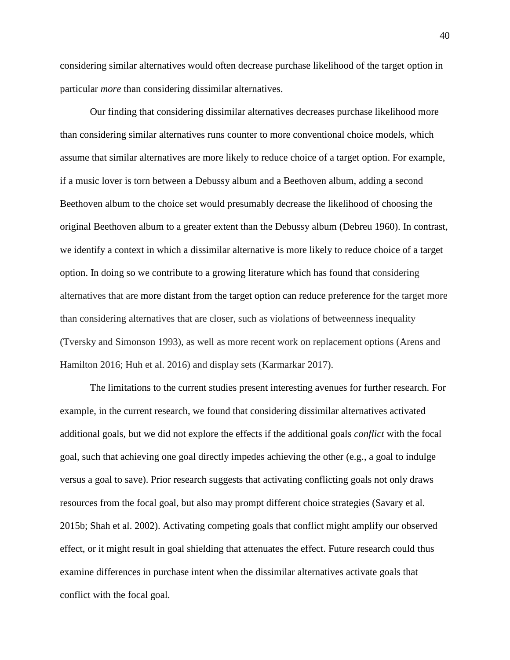considering similar alternatives would often decrease purchase likelihood of the target option in particular *more* than considering dissimilar alternatives.

Our finding that considering dissimilar alternatives decreases purchase likelihood more than considering similar alternatives runs counter to more conventional choice models, which assume that similar alternatives are more likely to reduce choice of a target option. For example, if a music lover is torn between a Debussy album and a Beethoven album, adding a second Beethoven album to the choice set would presumably decrease the likelihood of choosing the original Beethoven album to a greater extent than the Debussy album (Debreu 1960). In contrast, we identify a context in which a dissimilar alternative is more likely to reduce choice of a target option. In doing so we contribute to a growing literature which has found that considering alternatives that are more distant from the target option can reduce preference for the target more than considering alternatives that are closer, such as violations of betweenness inequality (Tversky and Simonson 1993), as well as more recent work on replacement options (Arens and Hamilton 2016; Huh et al. 2016) and display sets (Karmarkar 2017).

The limitations to the current studies present interesting avenues for further research. For example, in the current research, we found that considering dissimilar alternatives activated additional goals, but we did not explore the effects if the additional goals *conflict* with the focal goal, such that achieving one goal directly impedes achieving the other (e.g., a goal to indulge versus a goal to save). Prior research suggests that activating conflicting goals not only draws resources from the focal goal, but also may prompt different choice strategies (Savary et al. 2015b; Shah et al. 2002). Activating competing goals that conflict might amplify our observed effect, or it might result in goal shielding that attenuates the effect. Future research could thus examine differences in purchase intent when the dissimilar alternatives activate goals that conflict with the focal goal.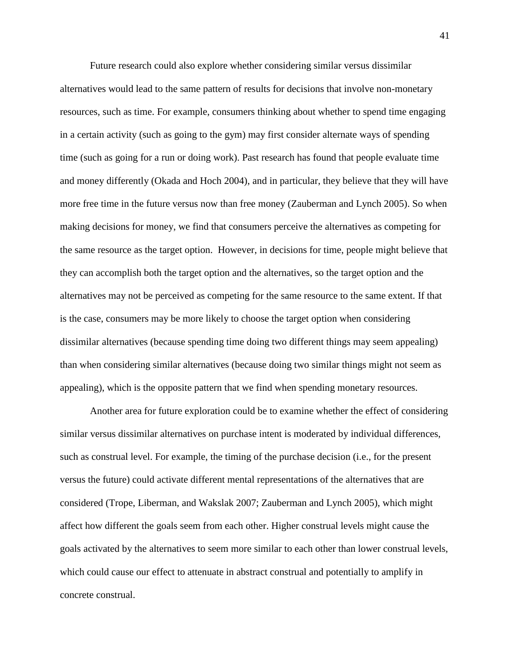Future research could also explore whether considering similar versus dissimilar alternatives would lead to the same pattern of results for decisions that involve non-monetary resources, such as time. For example, consumers thinking about whether to spend time engaging in a certain activity (such as going to the gym) may first consider alternate ways of spending time (such as going for a run or doing work). Past research has found that people evaluate time and money differently (Okada and Hoch 2004), and in particular, they believe that they will have more free time in the future versus now than free money (Zauberman and Lynch 2005). So when making decisions for money, we find that consumers perceive the alternatives as competing for the same resource as the target option. However, in decisions for time, people might believe that they can accomplish both the target option and the alternatives, so the target option and the alternatives may not be perceived as competing for the same resource to the same extent. If that is the case, consumers may be more likely to choose the target option when considering dissimilar alternatives (because spending time doing two different things may seem appealing) than when considering similar alternatives (because doing two similar things might not seem as appealing), which is the opposite pattern that we find when spending monetary resources.

Another area for future exploration could be to examine whether the effect of considering similar versus dissimilar alternatives on purchase intent is moderated by individual differences, such as construal level. For example, the timing of the purchase decision (i.e., for the present versus the future) could activate different mental representations of the alternatives that are considered (Trope, Liberman, and Wakslak 2007; Zauberman and Lynch 2005), which might affect how different the goals seem from each other. Higher construal levels might cause the goals activated by the alternatives to seem more similar to each other than lower construal levels, which could cause our effect to attenuate in abstract construal and potentially to amplify in concrete construal.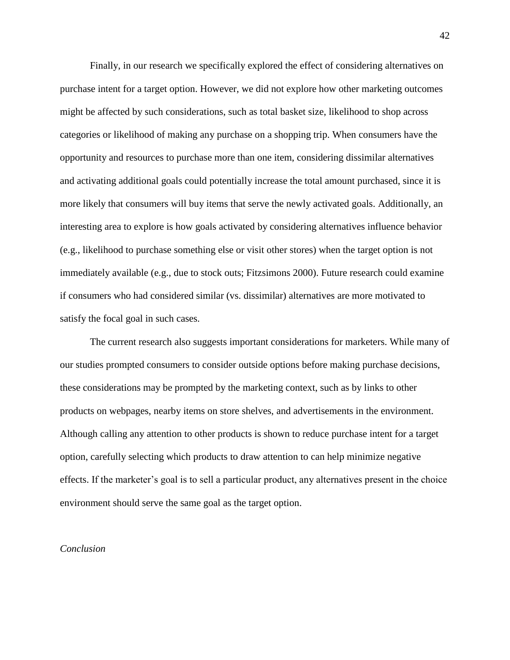Finally, in our research we specifically explored the effect of considering alternatives on purchase intent for a target option. However, we did not explore how other marketing outcomes might be affected by such considerations, such as total basket size, likelihood to shop across categories or likelihood of making any purchase on a shopping trip. When consumers have the opportunity and resources to purchase more than one item, considering dissimilar alternatives and activating additional goals could potentially increase the total amount purchased, since it is more likely that consumers will buy items that serve the newly activated goals. Additionally, an interesting area to explore is how goals activated by considering alternatives influence behavior (e.g., likelihood to purchase something else or visit other stores) when the target option is not immediately available (e.g., due to stock outs; Fitzsimons 2000). Future research could examine if consumers who had considered similar (vs. dissimilar) alternatives are more motivated to satisfy the focal goal in such cases.

The current research also suggests important considerations for marketers. While many of our studies prompted consumers to consider outside options before making purchase decisions, these considerations may be prompted by the marketing context, such as by links to other products on webpages, nearby items on store shelves, and advertisements in the environment. Although calling any attention to other products is shown to reduce purchase intent for a target option, carefully selecting which products to draw attention to can help minimize negative effects. If the marketer's goal is to sell a particular product, any alternatives present in the choice environment should serve the same goal as the target option.

### *Conclusion*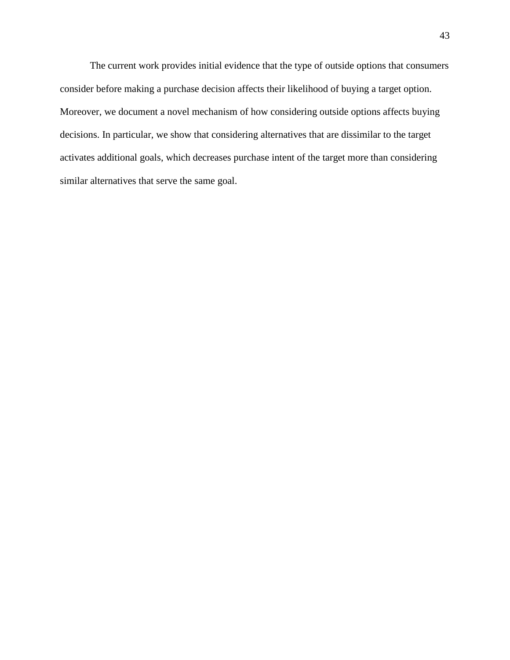The current work provides initial evidence that the type of outside options that consumers consider before making a purchase decision affects their likelihood of buying a target option. Moreover, we document a novel mechanism of how considering outside options affects buying decisions. In particular, we show that considering alternatives that are dissimilar to the target activates additional goals, which decreases purchase intent of the target more than considering similar alternatives that serve the same goal.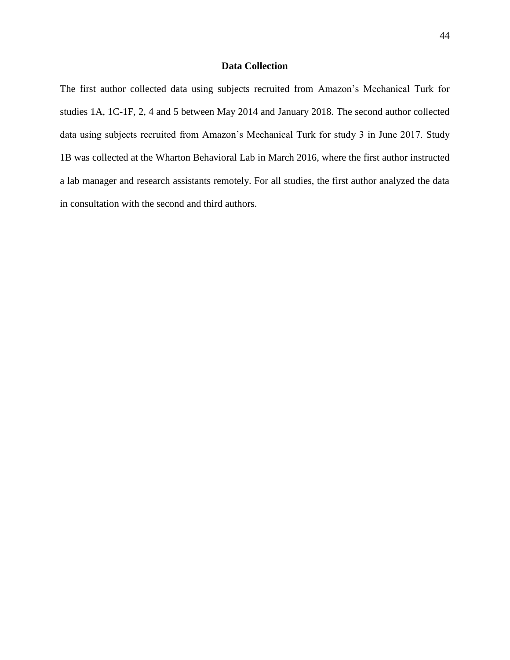# **Data Collection**

The first author collected data using subjects recruited from Amazon's Mechanical Turk for studies 1A, 1C-1F, 2, 4 and 5 between May 2014 and January 2018. The second author collected data using subjects recruited from Amazon's Mechanical Turk for study 3 in June 2017. Study 1B was collected at the Wharton Behavioral Lab in March 2016, where the first author instructed a lab manager and research assistants remotely. For all studies, the first author analyzed the data in consultation with the second and third authors.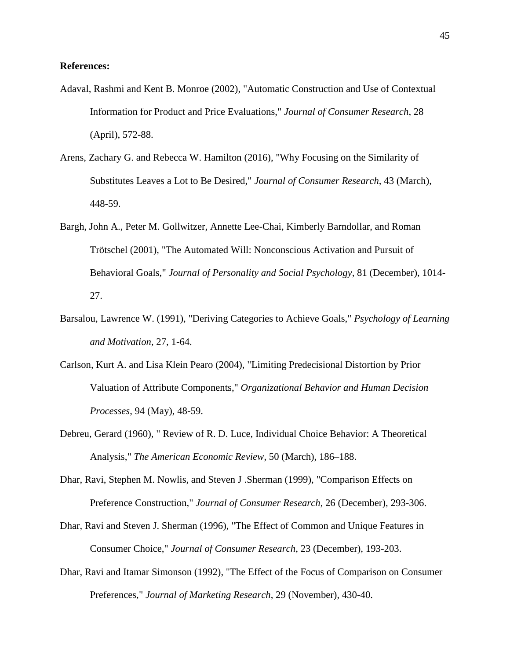## **References:**

- Adaval, Rashmi and Kent B. Monroe (2002), "Automatic Construction and Use of Contextual Information for Product and Price Evaluations," *Journal of Consumer Research*, 28 (April), 572-88.
- Arens, Zachary G. and Rebecca W. Hamilton (2016), "Why Focusing on the Similarity of Substitutes Leaves a Lot to Be Desired," *Journal of Consumer Research*, 43 (March), 448-59.
- Bargh, John A., Peter M. Gollwitzer, Annette Lee-Chai, Kimberly Barndollar, and Roman Trötschel (2001), "The Automated Will: Nonconscious Activation and Pursuit of Behavioral Goals," *Journal of Personality and Social Psychology*, 81 (December), 1014- 27.
- Barsalou, Lawrence W. (1991), "Deriving Categories to Achieve Goals," *Psychology of Learning and Motivation*, 27, 1-64.
- Carlson, Kurt A. and Lisa Klein Pearo (2004), "Limiting Predecisional Distortion by Prior Valuation of Attribute Components," *Organizational Behavior and Human Decision Processes*, 94 (May), 48-59.
- Debreu, Gerard (1960), " Review of R. D. Luce, Individual Choice Behavior: A Theoretical Analysis," *The American Economic Review*, 50 (March), 186–188.
- Dhar, Ravi, Stephen M. Nowlis, and Steven J .Sherman (1999), "Comparison Effects on Preference Construction," *Journal of Consumer Research*, 26 (December), 293-306.
- Dhar, Ravi and Steven J. Sherman (1996), "The Effect of Common and Unique Features in Consumer Choice," *Journal of Consumer Research*, 23 (December), 193-203.
- Dhar, Ravi and Itamar Simonson (1992), "The Effect of the Focus of Comparison on Consumer Preferences," *Journal of Marketing Research*, 29 (November), 430-40.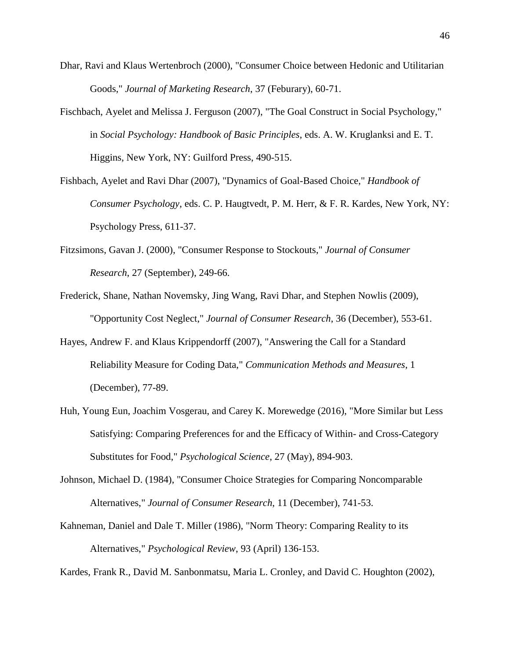- Dhar, Ravi and Klaus Wertenbroch (2000), "Consumer Choice between Hedonic and Utilitarian Goods," *Journal of Marketing Research*, 37 (Feburary), 60-71.
- Fischbach, Ayelet and Melissa J. Ferguson (2007), "The Goal Construct in Social Psychology," in *Social Psychology: Handbook of Basic Principles*, eds. A. W. Kruglanksi and E. T. Higgins, New York, NY: Guilford Press, 490-515.
- Fishbach, Ayelet and Ravi Dhar (2007), "Dynamics of Goal-Based Choice," *Handbook of Consumer Psychology*, eds. C. P. Haugtvedt, P. M. Herr, & F. R. Kardes, New York, NY: Psychology Press, 611-37.
- Fitzsimons, Gavan J. (2000), "Consumer Response to Stockouts," *Journal of Consumer Research*, 27 (September), 249-66.
- Frederick, Shane, Nathan Novemsky, Jing Wang, Ravi Dhar, and Stephen Nowlis (2009), "Opportunity Cost Neglect," *Journal of Consumer Research*, 36 (December), 553-61.
- Hayes, Andrew F. and Klaus Krippendorff (2007), "Answering the Call for a Standard Reliability Measure for Coding Data," *Communication Methods and Measures*, 1 (December), 77-89.
- Huh, Young Eun, Joachim Vosgerau, and Carey K. Morewedge (2016), "More Similar but Less Satisfying: Comparing Preferences for and the Efficacy of Within- and Cross-Category Substitutes for Food," *Psychological Science*, 27 (May), 894-903.
- Johnson, Michael D. (1984), "Consumer Choice Strategies for Comparing Noncomparable Alternatives," *Journal of Consumer Research*, 11 (December), 741-53.
- Kahneman, Daniel and Dale T. Miller (1986), "Norm Theory: Comparing Reality to its Alternatives," *Psychological Review*, 93 (April) 136-153.

Kardes, Frank R., David M. Sanbonmatsu, Maria L. Cronley, and David C. Houghton (2002),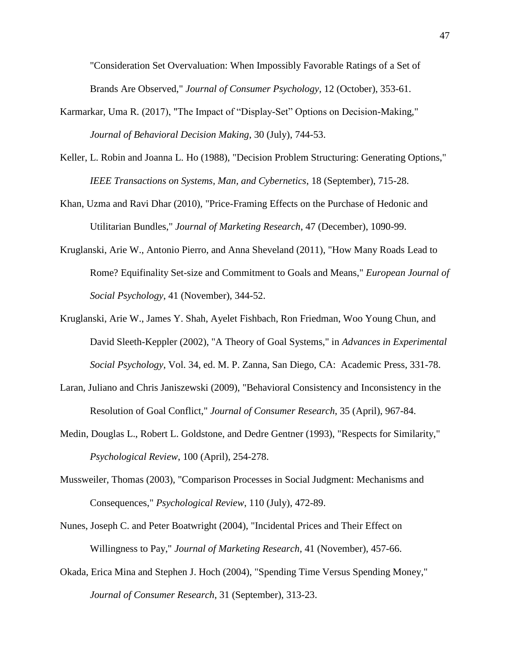"Consideration Set Overvaluation: When Impossibly Favorable Ratings of a Set of Brands Are Observed," *Journal of Consumer Psychology*, 12 (October), 353-61.

- Karmarkar, Uma R. (2017), "The Impact of "Display-Set" Options on Decision-Making," *Journal of Behavioral Decision Making*, 30 (July), 744-53.
- Keller, L. Robin and Joanna L. Ho (1988), "Decision Problem Structuring: Generating Options," *IEEE Transactions on Systems, Man, and Cybernetics*, 18 (September), 715-28.
- Khan, Uzma and Ravi Dhar (2010), "Price-Framing Effects on the Purchase of Hedonic and Utilitarian Bundles," *Journal of Marketing Research*, 47 (December), 1090-99.
- Kruglanski, Arie W., Antonio Pierro, and Anna Sheveland (2011), "How Many Roads Lead to Rome? Equifinality Set-size and Commitment to Goals and Means," *European Journal of Social Psychology*, 41 (November), 344-52.
- Kruglanski, Arie W., James Y. Shah, Ayelet Fishbach, Ron Friedman, Woo Young Chun, and David Sleeth-Keppler (2002), "A Theory of Goal Systems," in *Advances in Experimental Social Psychology*, Vol. 34, ed. M. P. Zanna, San Diego, CA: Academic Press, 331-78.
- Laran, Juliano and Chris Janiszewski (2009), "Behavioral Consistency and Inconsistency in the Resolution of Goal Conflict," *Journal of Consumer Research*, 35 (April), 967-84.
- Medin, Douglas L., Robert L. Goldstone, and Dedre Gentner (1993), "Respects for Similarity," *Psychological Review*, 100 (April), 254-278.
- Mussweiler, Thomas (2003), "Comparison Processes in Social Judgment: Mechanisms and Consequences," *Psychological Review*, 110 (July), 472-89.
- Nunes, Joseph C. and Peter Boatwright (2004), "Incidental Prices and Their Effect on Willingness to Pay," *Journal of Marketing Research*, 41 (November), 457-66.
- Okada, Erica Mina and Stephen J. Hoch (2004), "Spending Time Versus Spending Money," *Journal of Consumer Research*, 31 (September), 313-23.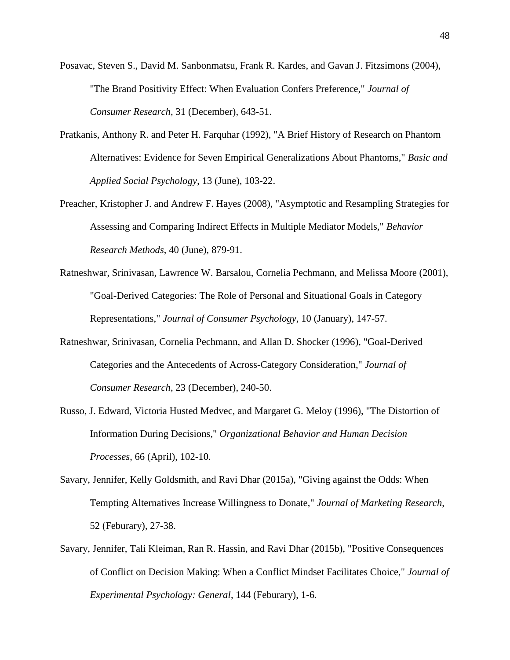Posavac, Steven S., David M. Sanbonmatsu, Frank R. Kardes, and Gavan J. Fitzsimons (2004), "The Brand Positivity Effect: When Evaluation Confers Preference," *Journal of Consumer Research*, 31 (December), 643-51.

- Pratkanis, Anthony R. and Peter H. Farquhar (1992), "A Brief History of Research on Phantom Alternatives: Evidence for Seven Empirical Generalizations About Phantoms," *Basic and Applied Social Psychology*, 13 (June), 103-22.
- Preacher, Kristopher J. and Andrew F. Hayes (2008), "Asymptotic and Resampling Strategies for Assessing and Comparing Indirect Effects in Multiple Mediator Models," *Behavior Research Methods*, 40 (June), 879-91.
- Ratneshwar, Srinivasan, Lawrence W. Barsalou, Cornelia Pechmann, and Melissa Moore (2001), "Goal-Derived Categories: The Role of Personal and Situational Goals in Category Representations," *Journal of Consumer Psychology*, 10 (January), 147-57.
- Ratneshwar, Srinivasan, Cornelia Pechmann, and Allan D. Shocker (1996), "Goal-Derived Categories and the Antecedents of Across-Category Consideration," *Journal of Consumer Research*, 23 (December), 240-50.
- Russo, J. Edward, Victoria Husted Medvec, and Margaret G. Meloy (1996), "The Distortion of Information During Decisions," *Organizational Behavior and Human Decision Processes*, 66 (April), 102-10.
- Savary, Jennifer, Kelly Goldsmith, and Ravi Dhar (2015a), "Giving against the Odds: When Tempting Alternatives Increase Willingness to Donate," *Journal of Marketing Research*, 52 (Feburary), 27-38.
- Savary, Jennifer, Tali Kleiman, Ran R. Hassin, and Ravi Dhar (2015b), "Positive Consequences of Conflict on Decision Making: When a Conflict Mindset Facilitates Choice," *Journal of Experimental Psychology: General*, 144 (Feburary), 1-6.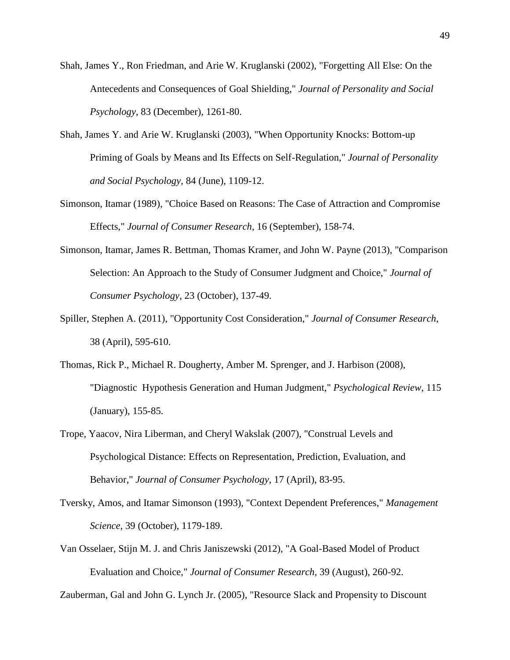- Shah, James Y., Ron Friedman, and Arie W. Kruglanski (2002), "Forgetting All Else: On the Antecedents and Consequences of Goal Shielding," *Journal of Personality and Social Psychology*, 83 (December), 1261-80.
- Shah, James Y. and Arie W. Kruglanski (2003), "When Opportunity Knocks: Bottom-up Priming of Goals by Means and Its Effects on Self-Regulation," *Journal of Personality and Social Psychology*, 84 (June), 1109-12.
- Simonson, Itamar (1989), "Choice Based on Reasons: The Case of Attraction and Compromise Effects," *Journal of Consumer Research*, 16 (September), 158-74.
- Simonson, Itamar, James R. Bettman, Thomas Kramer, and John W. Payne (2013), "Comparison Selection: An Approach to the Study of Consumer Judgment and Choice," *Journal of Consumer Psychology*, 23 (October), 137-49.
- Spiller, Stephen A. (2011), "Opportunity Cost Consideration," *Journal of Consumer Research*, 38 (April), 595-610.
- Thomas, Rick P., Michael R. Dougherty, Amber M. Sprenger, and J. Harbison (2008), "Diagnostic Hypothesis Generation and Human Judgment," *Psychological Review*, 115 (January), 155-85.
- Trope, Yaacov, Nira Liberman, and Cheryl Wakslak (2007), "Construal Levels and Psychological Distance: Effects on Representation, Prediction, Evaluation, and Behavior," *Journal of Consumer Psychology*, 17 (April), 83-95.
- Tversky, Amos, and Itamar Simonson (1993), "Context Dependent Preferences," *Management Science*, 39 (October), 1179-189.
- Van Osselaer, Stijn M. J. and Chris Janiszewski (2012), "A Goal-Based Model of Product Evaluation and Choice," *Journal of Consumer Research*, 39 (August), 260-92.

Zauberman, Gal and John G. Lynch Jr. (2005), "Resource Slack and Propensity to Discount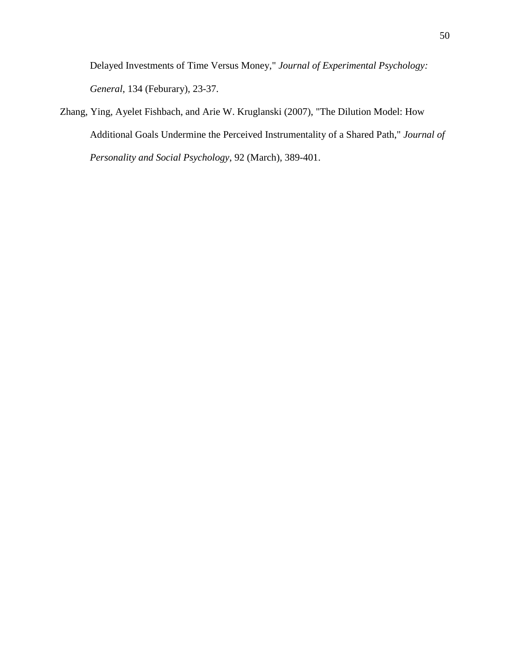Delayed Investments of Time Versus Money," *Journal of Experimental Psychology: General*, 134 (Feburary), 23-37.

Zhang, Ying, Ayelet Fishbach, and Arie W. Kruglanski (2007), "The Dilution Model: How Additional Goals Undermine the Perceived Instrumentality of a Shared Path," *Journal of Personality and Social Psychology*, 92 (March), 389-401.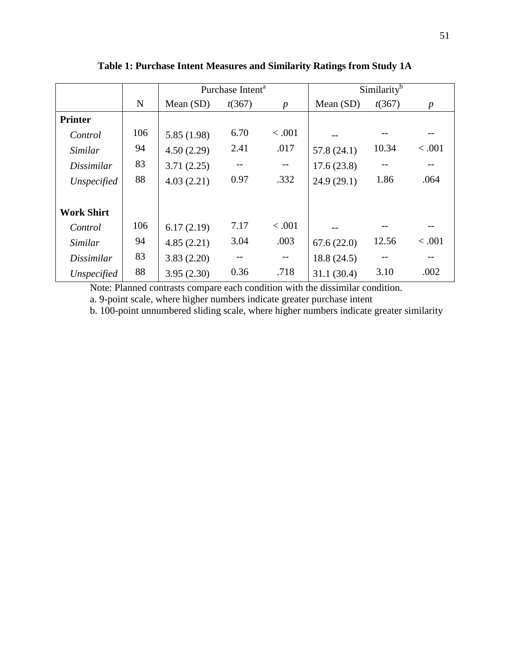|                   |     | Purchase Intent <sup>a</sup> |        |                   | Similarity <sup>b</sup> |        |                  |
|-------------------|-----|------------------------------|--------|-------------------|-------------------------|--------|------------------|
|                   | N   | Mean $(SD)$                  | t(367) | $\boldsymbol{p}$  | Mean $(SD)$             | t(367) | $\boldsymbol{p}$ |
| <b>Printer</b>    |     |                              |        |                   |                         |        |                  |
| Control           | 106 | 5.85 (1.98)                  | 6.70   | < .001            |                         |        |                  |
| Similar           | 94  | 4.50(2.29)                   | 2.41   | .017              | 57.8(24.1)              | 10.34  | < .001           |
| Dissimilar        | 83  | 3.71(2.25)                   |        |                   | 17.6(23.8)              |        |                  |
| Unspecified       | 88  | 4.03(2.21)                   | 0.97   | .332              | 24.9(29.1)              | 1.86   | .064             |
| <b>Work Shirt</b> |     |                              |        |                   |                         |        |                  |
| Control           | 106 | 6.17(2.19)                   | 7.17   | < .001            |                         |        |                  |
| Similar           | 94  | 4.85(2.21)                   | 3.04   | .003              | 67.6(22.0)              | 12.56  | < .001           |
| <i>Dissimilar</i> | 83  | 3.83(2.20)                   | $-$    | $\qquad \qquad -$ | 18.8(24.5)              |        |                  |
| Unspecified       | 88  | 3.95(2.30)                   | 0.36   | .718              | 31.1(30.4)              | 3.10   | .002             |

**Table 1: Purchase Intent Measures and Similarity Ratings from Study 1A**

Note: Planned contrasts compare each condition with the dissimilar condition. a. 9-point scale, where higher numbers indicate greater purchase intent

b. 100-point unnumbered sliding scale, where higher numbers indicate greater similarity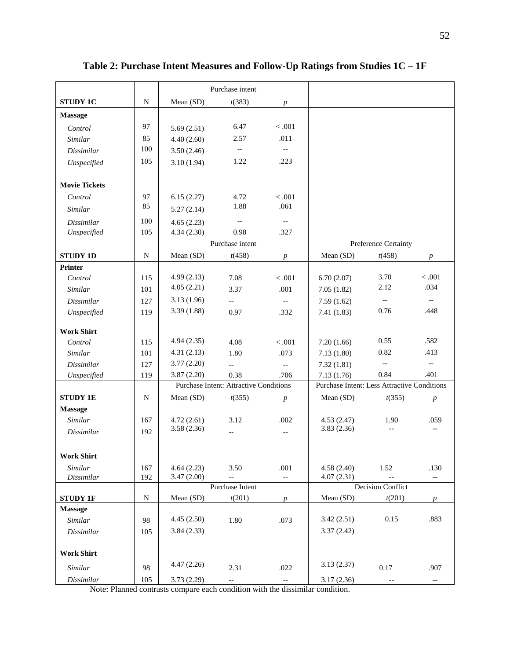|                      |             |                                         | Purchase intent                               |                                               |                                             |                          |                          |
|----------------------|-------------|-----------------------------------------|-----------------------------------------------|-----------------------------------------------|---------------------------------------------|--------------------------|--------------------------|
| <b>STUDY 1C</b>      | ${\bf N}$   | Mean (SD)                               | t(383)                                        | $\boldsymbol{p}$                              |                                             |                          |                          |
| <b>Massage</b>       |             |                                         |                                               |                                               |                                             |                          |                          |
| Control              | 97          | 5.69(2.51)                              | 6.47                                          | < .001                                        |                                             |                          |                          |
| Similar              | 85          | 4.40(2.60)                              | 2.57                                          | .011                                          |                                             |                          |                          |
| <b>Dissimilar</b>    | 100         | 3.50(2.46)                              | $\overline{\phantom{a}}$                      | $\overline{\phantom{a}}$                      |                                             |                          |                          |
| Unspecified          | 105         | 3.10(1.94)                              | 1.22                                          | .223                                          |                                             |                          |                          |
|                      |             |                                         |                                               |                                               |                                             |                          |                          |
| <b>Movie Tickets</b> |             |                                         |                                               |                                               |                                             |                          |                          |
| Control              | 97          | 6.15(2.27)                              | 4.72                                          | $<.001$                                       |                                             |                          |                          |
| Similar              | 85          | 5.27(2.14)                              | 1.88                                          | .061                                          |                                             |                          |                          |
| <b>Dissimilar</b>    | 100         | 4.65(2.23)                              | $\mathord{\hspace{1pt}\text{--}\hspace{1pt}}$ | $\overline{\phantom{a}}$                      |                                             |                          |                          |
| Unspecified          | 105         | 4.34(2.30)                              | 0.98                                          | .327                                          |                                             |                          |                          |
|                      |             |                                         | Purchase intent                               |                                               |                                             | Preference Certainty     |                          |
| <b>STUDY 1D</b>      | N           | Mean (SD)                               | t(458)                                        | $\boldsymbol{p}$                              | Mean (SD)                                   | t(458)                   | $\boldsymbol{p}$         |
| <b>Printer</b>       |             |                                         |                                               |                                               |                                             |                          |                          |
| Control              | 115         | 4.99(2.13)                              | 7.08                                          | < 0.001                                       | 6.70(2.07)                                  | 3.70                     | $<.001$                  |
| Similar              | 101         | 4.05(2.21)                              | 3.37                                          | .001                                          | 7.05(1.82)                                  | 2.12                     | .034                     |
| <b>Dissimilar</b>    | 127         | 3.13(1.96)                              | $-$                                           | $\mathord{\hspace{1pt}\text{--}\hspace{1pt}}$ | 7.59(1.62)                                  | $-\hbox{--}$             | $\overline{\phantom{a}}$ |
| Unspecified          | 119         | 3.39(1.88)                              | 0.97                                          | .332                                          | 7.41(1.83)                                  | 0.76                     | .448                     |
|                      |             |                                         |                                               |                                               |                                             |                          |                          |
| <b>Work Shirt</b>    |             |                                         |                                               |                                               |                                             |                          |                          |
| Control              | 115         | 4.94(2.35)                              | 4.08                                          | < .001                                        | 7.20(1.66)                                  | 0.55                     | .582                     |
| Similar              | 101         | 4.31(2.13)                              | 1.80                                          | .073                                          | 7.13(1.80)                                  | 0.82                     | .413                     |
| <b>Dissimilar</b>    | 127         | 3.77(2.20)                              | $\overline{a}$                                | $\overline{\phantom{m}}$                      | 7.32(1.81)                                  | $\overline{\phantom{a}}$ | $\overline{\phantom{a}}$ |
| Unspecified          | 119         | 3.87(2.20)                              | 0.38                                          | .706                                          | 7.13(1.76)                                  | 0.84                     | .401                     |
|                      |             |                                         | <b>Purchase Intent: Attractive Conditions</b> |                                               | Purchase Intent: Less Attractive Conditions |                          |                          |
| <b>STUDY 1E</b>      | N           | Mean (SD)<br>t(355)<br>$\boldsymbol{p}$ |                                               | Mean (SD)                                     | t(355)                                      | p                        |                          |
| <b>Massage</b>       |             |                                         |                                               |                                               |                                             |                          |                          |
| Similar              | 167         | 4.72(2.61)                              | 3.12                                          | .002                                          | 4.53(2.47)                                  | 1.90                     | .059                     |
| Dissimilar           | 192         | 3.58(2.36)                              |                                               | $-$                                           | 3.83(2.36)                                  |                          |                          |
|                      |             |                                         |                                               |                                               |                                             |                          |                          |
| <b>Work Shirt</b>    |             |                                         |                                               |                                               |                                             |                          |                          |
| Similar              | 167         | 4.64(2.23)                              | 3.50                                          | .001                                          | 4.58(2.40)                                  | 1.52                     | .130                     |
| <b>Dissimilar</b>    | 192         | 3.47(2.00)                              | $\overline{\phantom{a}}$                      | $-$                                           | 4.07(2.31)                                  |                          | $\overline{\phantom{a}}$ |
|                      |             | Purchase Intent                         |                                               |                                               | <b>Decision Conflict</b>                    |                          |                          |
| <b>STUDY 1F</b>      | $\mathbf N$ | Mean (SD)                               | t(201)                                        | $\boldsymbol{p}$                              | Mean (SD)                                   | t(201)                   | $\boldsymbol{p}$         |
| <b>Massage</b>       |             |                                         |                                               |                                               |                                             |                          |                          |
| Similar              | 98          | 4.45(2.50)                              | 1.80                                          | .073                                          | 3.42(2.51)                                  | 0.15                     | .883                     |
| Dissimilar           | 105         | 3.84(2.33)                              |                                               |                                               | 3.37(2.42)                                  |                          |                          |
| <b>Work Shirt</b>    |             |                                         |                                               |                                               |                                             |                          |                          |
|                      |             | 4.47(2.26)                              |                                               |                                               | 3.13(2.37)                                  |                          |                          |
| Similar              | 98          |                                         | 2.31                                          | .022                                          |                                             | 0.17                     | .907                     |
| Dissimilar           | 105         | 3.73(2.29)                              | --                                            | --                                            | 3.17(2.36)                                  |                          | $- -$                    |

**Table 2: Purchase Intent Measures and Follow-Up Ratings from Studies 1C – 1F**

Note: Planned contrasts compare each condition with the dissimilar condition.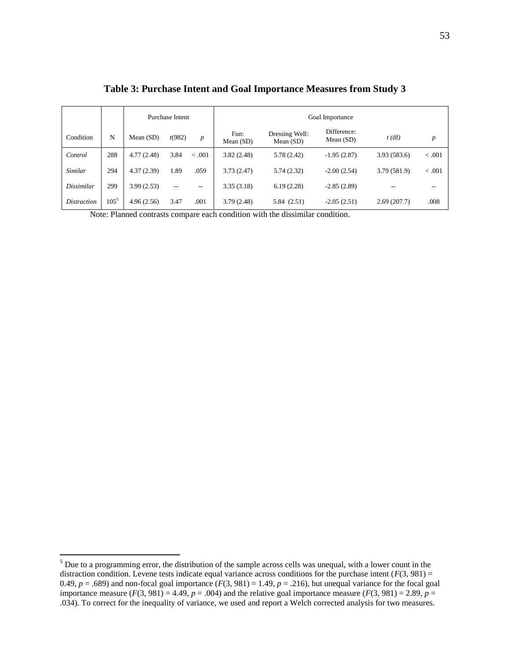|                    |         | Purchase Intent |                   |                  | Goal Importance     |                               |                            |              |                  |
|--------------------|---------|-----------------|-------------------|------------------|---------------------|-------------------------------|----------------------------|--------------|------------------|
| Condition          | N       | Mean (SD)       | t(982)            | $\boldsymbol{p}$ | Fun:<br>Mean $(SD)$ | Dressing Well:<br>Mean $(SD)$ | Difference:<br>Mean $(SD)$ | $t$ (df)     | $\boldsymbol{p}$ |
| Control            | 288     | 4.77(2.48)      | 3.84              | < 0.001          | 3.82(2.48)          | 5.78 (2.42)                   | $-1.95(2.87)$              | 3.93(583.6)  | < .001           |
| <b>Similar</b>     | 294     | 4.37(2.39)      | 1.89              | .059             | 3.73(2.47)          | 5.74(2.32)                    | $-2.00(2.54)$              | 3.79 (581.9) | < .001           |
| <b>Dissimilar</b>  | 299     | 3.99(2.53)      | $\qquad \qquad -$ | --               | 3.35(3.18)          | 6.19(2.28)                    | $-2.85(2.89)$              | --           |                  |
| <i>Distraction</i> | $105^5$ | 4.96(2.56)      | 3.47              | .001             | 3.79(2.48)          | 5.84 (2.51)                   | $-2.05(2.51)$              | 2.69(207.7)  | .008             |

**Table 3: Purchase Intent and Goal Importance Measures from Study 3**

Note: Planned contrasts compare each condition with the dissimilar condition.

 $\overline{a}$ 

 $<sup>5</sup>$  Due to a programming error, the distribution of the sample across cells was unequal, with a lower count in the</sup> distraction condition. Levene tests indicate equal variance across conditions for the purchase intent  $(F(3, 981) =$ 0.49,  $p = .689$ ) and non-focal goal importance  $(F(3, 981) = 1.49, p = .216)$ , but unequal variance for the focal goal importance measure  $(F(3, 981) = 4.49, p = .004)$  and the relative goal importance measure  $(F(3, 981) = 2.89, p = .004)$ .034). To correct for the inequality of variance, we used and report a Welch corrected analysis for two measures.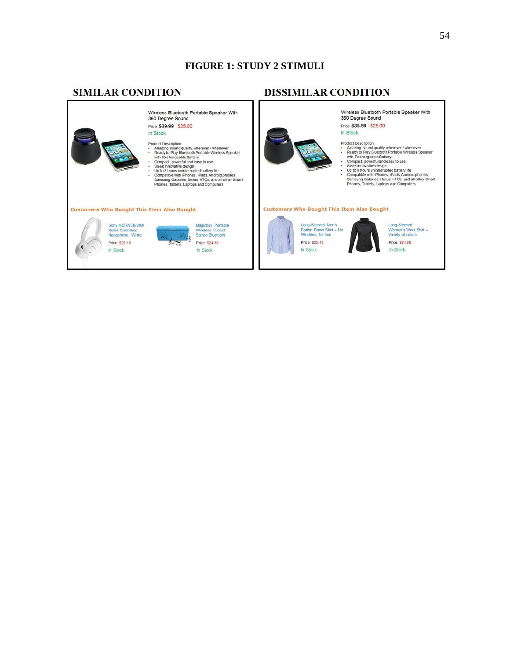# **FIGURE 1: STUDY 2 STIMULI**

# **SIMILAR CONDITION**

# **DISSIMILAR CONDITION**

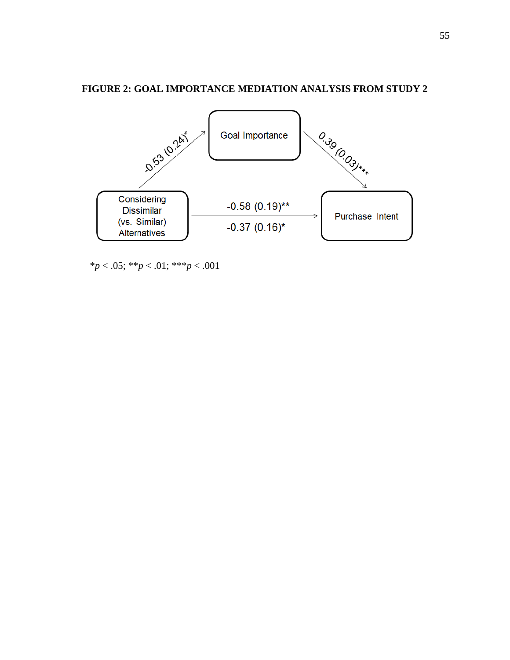# **FIGURE 2: GOAL IMPORTANCE MEDIATION ANALYSIS FROM STUDY 2**



\**p* < .05; \*\**p* < .01; \*\*\**p* < .001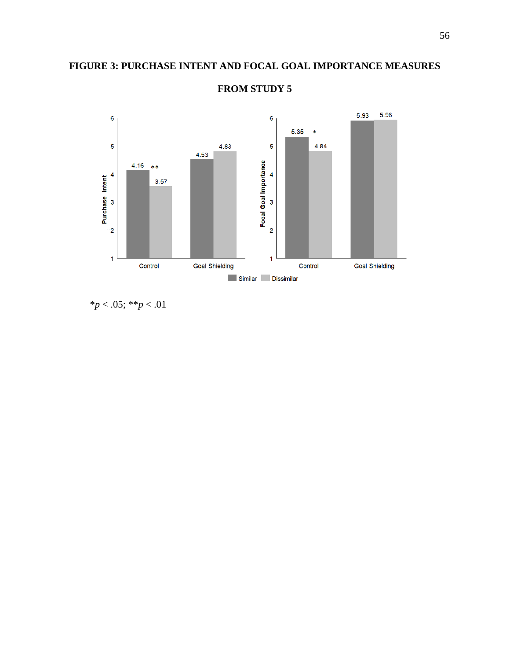# **FIGURE 3: PURCHASE INTENT AND FOCAL GOAL IMPORTANCE MEASURES**



# **FROM STUDY 5**

\**p* < .05; \*\**p* < .01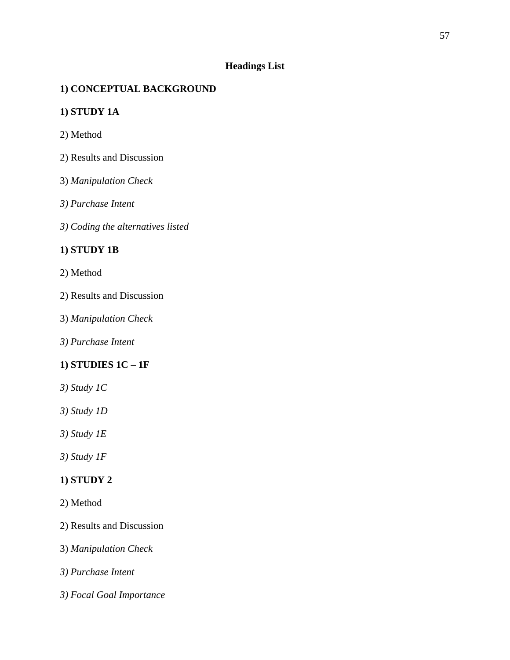# **Headings List**

# **1) CONCEPTUAL BACKGROUND**

# **1) STUDY 1A**

- 2) Method
- 2) Results and Discussion
- 3) *Manipulation Check*
- *3) Purchase Intent*
- *3) Coding the alternatives listed*

# **1) STUDY 1B**

## 2) Method

- 2) Results and Discussion
- 3) *Manipulation Check*
- *3) Purchase Intent*

# **1) STUDIES 1C – 1F**

- *3) Study 1C*
- *3) Study 1D*
- *3) Study 1E*
- *3) Study 1F*

## **1) STUDY 2**

- 2) Method
- 2) Results and Discussion
- 3) *Manipulation Check*
- *3) Purchase Intent*
- *3) Focal Goal Importance*